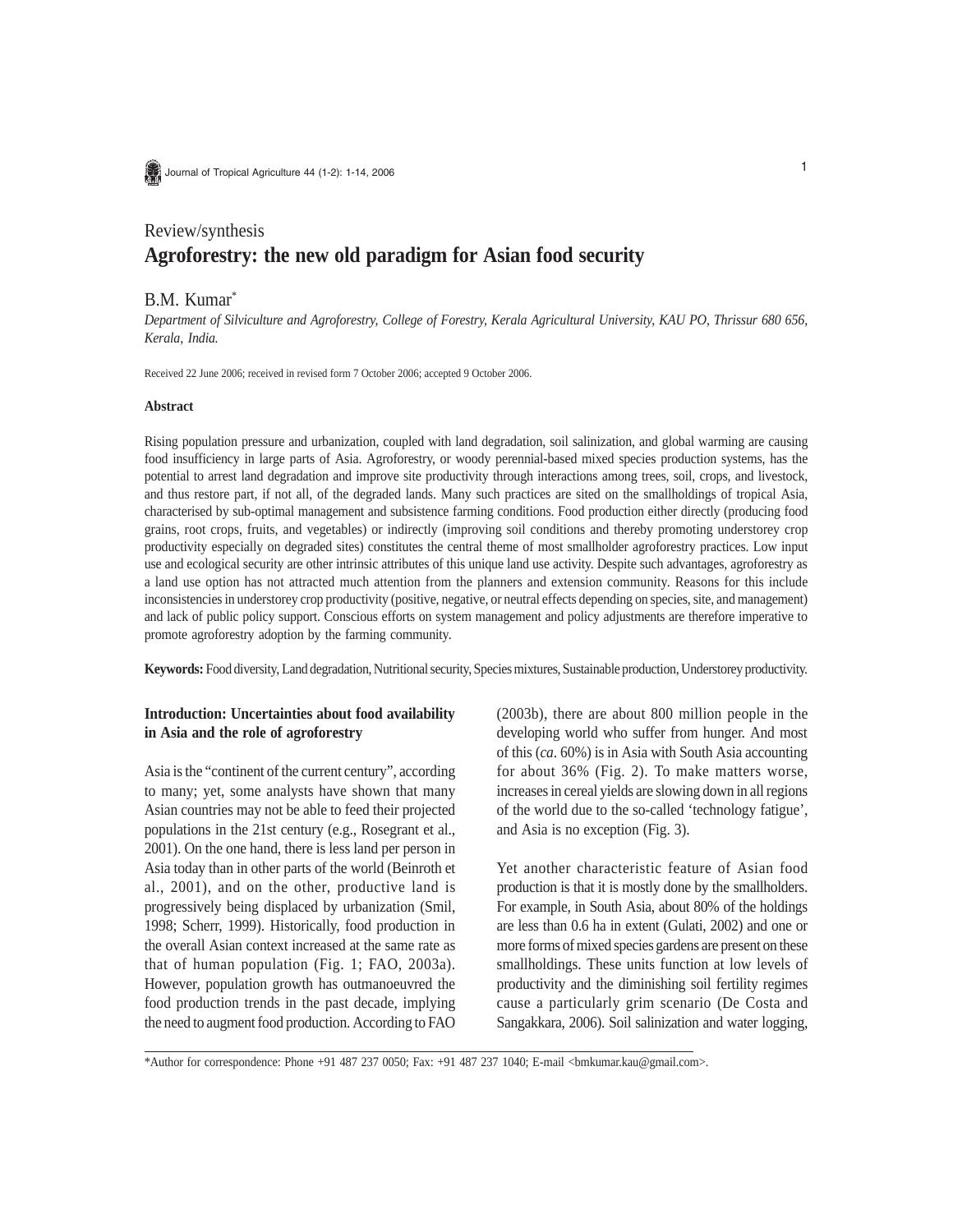Journal of Tropical Agriculture 44 (1-2): 1-14, 2006

# Review/synthesis **Agroforestry: the new old paradigm for Asian food security**

## B.M. Kumar\*

*Department of Silviculture and Agroforestry, College of Forestry, Kerala Agricultural University, KAU PO, Thrissur 680 656, Kerala, India.*

Received 22 June 2006; received in revised form 7 October 2006; accepted 9 October 2006.

#### **Abstract**

Rising population pressure and urbanization, coupled with land degradation, soil salinization, and global warming are causing food insufficiency in large parts of Asia. Agroforestry, or woody perennial-based mixed species production systems, has the potential to arrest land degradation and improve site productivity through interactions among trees, soil, crops, and livestock, and thus restore part, if not all, of the degraded lands. Many such practices are sited on the smallholdings of tropical Asia, characterised by sub-optimal management and subsistence farming conditions. Food production either directly (producing food grains, root crops, fruits, and vegetables) or indirectly (improving soil conditions and thereby promoting understorey crop productivity especially on degraded sites) constitutes the central theme of most smallholder agroforestry practices. Low input use and ecological security are other intrinsic attributes of this unique land use activity. Despite such advantages, agroforestry as a land use option has not attracted much attention from the planners and extension community. Reasons for this include inconsistencies in understorey crop productivity (positive, negative, or neutral effects depending on species, site, and management) and lack of public policy support. Conscious efforts on system management and policy adjustments are therefore imperative to promote agroforestry adoption by the farming community.

**Keywords:** Food diversity, Land degradation, Nutritional security, Species mixtures, Sustainable production, Understorey productivity.

## **Introduction: Uncertainties about food availability in Asia and the role of agroforestry**

Asia is the "continent of the current century", according to many; yet, some analysts have shown that many Asian countries may not be able to feed their projected populations in the 21st century (e.g., Rosegrant et al., 2001). On the one hand, there is less land per person in Asia today than in other parts of the world (Beinroth et al., 2001), and on the other, productive land is progressively being displaced by urbanization (Smil, 1998; Scherr, 1999). Historically, food production in the overall Asian context increased at the same rate as that of human population (Fig. 1; FAO, 2003a). However, population growth has outmanoeuvred the food production trends in the past decade, implying the need to augment food production. According to FAO (2003b), there are about 800 million people in the developing world who suffer from hunger. And most of this (*ca*. 60%) is in Asia with South Asia accounting for about 36% (Fig. 2). To make matters worse, increases in cereal yields are slowing down in all regions of the world due to the so-called 'technology fatigue', and Asia is no exception (Fig. 3).

Yet another characteristic feature of Asian food production is that it is mostly done by the smallholders. For example, in South Asia, about 80% of the holdings are less than 0.6 ha in extent (Gulati, 2002) and one or more forms of mixed species gardens are present on these smallholdings. These units function at low levels of productivity and the diminishing soil fertility regimes cause a particularly grim scenario (De Costa and Sangakkara, 2006). Soil salinization and water logging,

\*Author for correspondence: Phone +91 487 237 0050; Fax: +91 487 237 1040; E-mail <bmkumar.kau@gmail.com>.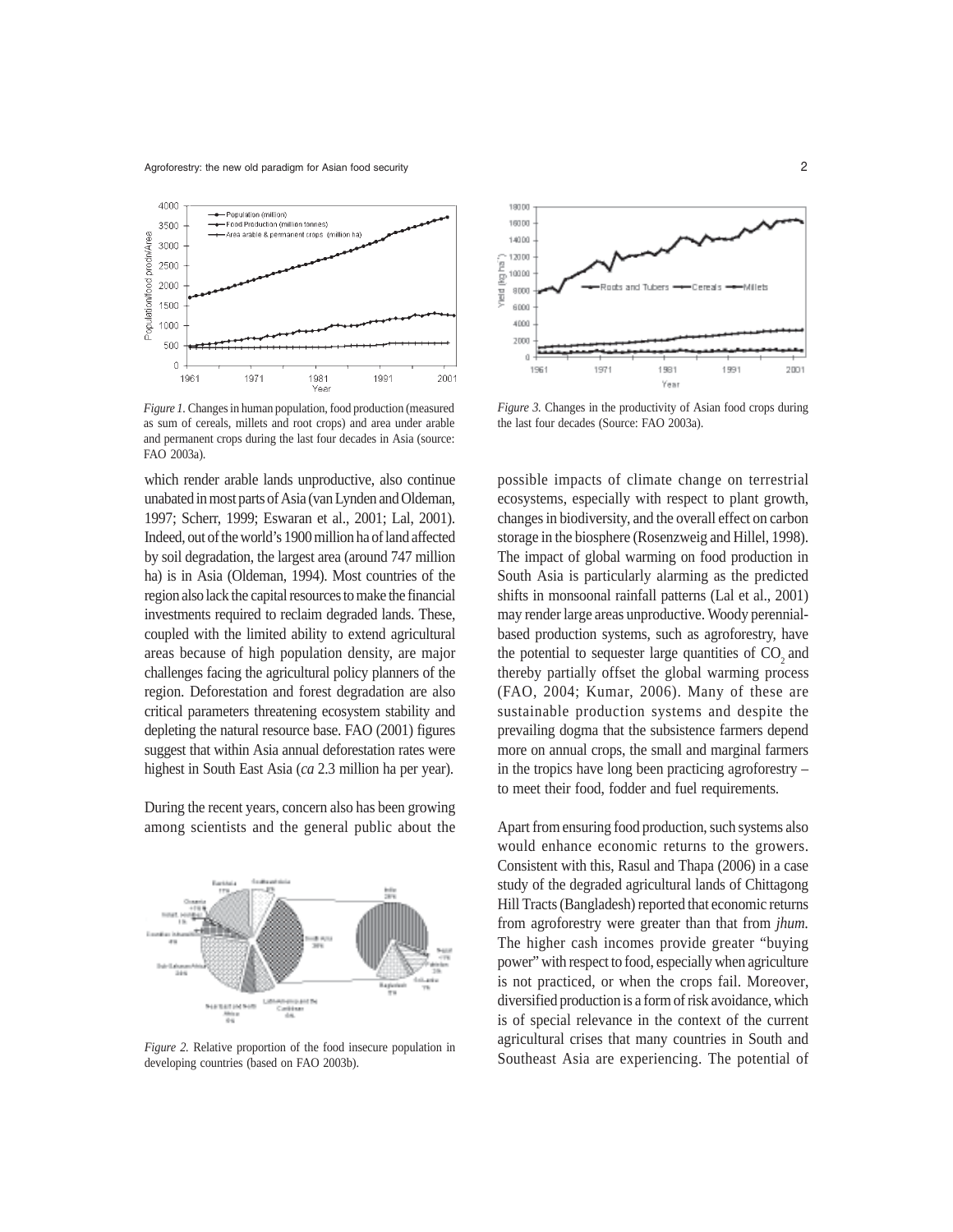

*Figure 1.* Changes in human population, food production (measured as sum of cereals, millets and root crops) and area under arable and permanent crops during the last four decades in Asia (source: FAO 2003a).

which render arable lands unproductive, also continue unabated in most parts of Asia (van Lynden and Oldeman, 1997; Scherr, 1999; Eswaran et al., 2001; Lal, 2001). Indeed, out of the world's 1900 million ha of land affected by soil degradation, the largest area (around 747 million ha) is in Asia (Oldeman, 1994). Most countries of the region also lack the capital resources to make the financial investments required to reclaim degraded lands. These, coupled with the limited ability to extend agricultural areas because of high population density, are major challenges facing the agricultural policy planners of the region. Deforestation and forest degradation are also critical parameters threatening ecosystem stability and depleting the natural resource base. FAO (2001) figures suggest that within Asia annual deforestation rates were highest in South East Asia (*ca* 2.3 million ha per year).

During the recent years, concern also has been growing among scientists and the general public about the



*Figure 2.* Relative proportion of the food insecure population in developing countries (based on FAO 2003b).



*Figure 3.* Changes in the productivity of Asian food crops during the last four decades (Source: FAO 2003a).

possible impacts of climate change on terrestrial ecosystems, especially with respect to plant growth, changes in biodiversity, and the overall effect on carbon storage in the biosphere (Rosenzweig and Hillel, 1998). The impact of global warming on food production in South Asia is particularly alarming as the predicted shifts in monsoonal rainfall patterns (Lal et al., 2001) may render large areas unproductive. Woody perennialbased production systems, such as agroforestry, have the potential to sequester large quantities of  $CO<sub>2</sub>$  and thereby partially offset the global warming process (FAO, 2004; Kumar, 2006). Many of these are sustainable production systems and despite the prevailing dogma that the subsistence farmers depend more on annual crops, the small and marginal farmers in the tropics have long been practicing agroforestry – to meet their food, fodder and fuel requirements.

Apart from ensuring food production, such systems also would enhance economic returns to the growers. Consistent with this, Rasul and Thapa (2006) in a case study of the degraded agricultural lands of Chittagong Hill Tracts (Bangladesh) reported that economic returns from agroforestry were greater than that from *jhum.* The higher cash incomes provide greater "buying power" with respect to food, especially when agriculture is not practiced, or when the crops fail. Moreover, diversified production is a form of risk avoidance, which is of special relevance in the context of the current agricultural crises that many countries in South and Southeast Asia are experiencing. The potential of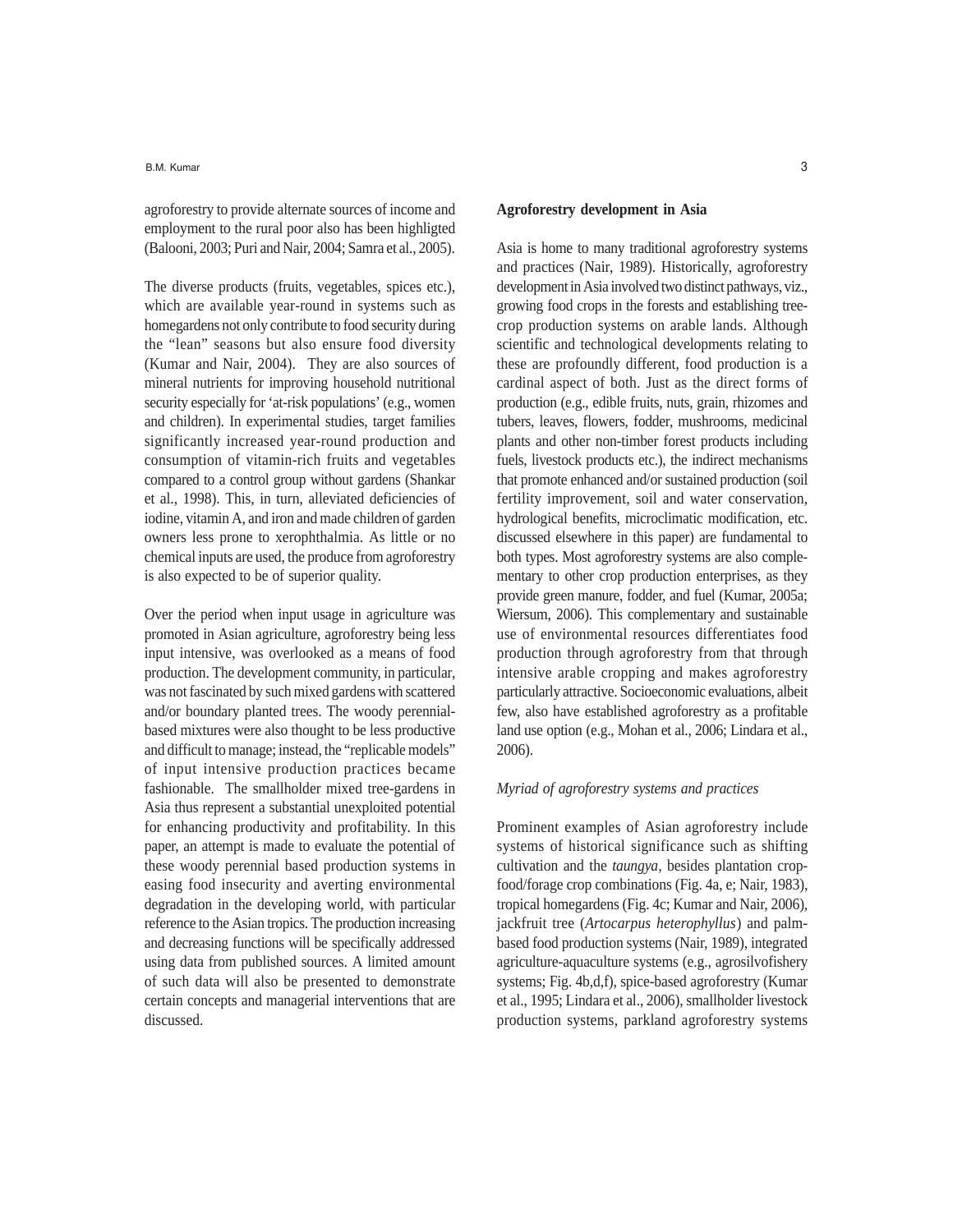agroforestry to provide alternate sources of income and employment to the rural poor also has been highligted (Balooni, 2003; Puri and Nair, 2004; Samra et al., 2005).

The diverse products (fruits, vegetables, spices etc.), which are available year-round in systems such as homegardens not only contribute to food security during the "lean" seasons but also ensure food diversity (Kumar and Nair, 2004). They are also sources of mineral nutrients for improving household nutritional security especially for 'at-risk populations' (e.g., women and children). In experimental studies, target families significantly increased year-round production and consumption of vitamin-rich fruits and vegetables compared to a control group without gardens (Shankar et al., 1998). This, in turn, alleviated deficiencies of iodine, vitamin A, and iron and made children of garden owners less prone to xerophthalmia. As little or no chemical inputs are used, the produce from agroforestry is also expected to be of superior quality.

Over the period when input usage in agriculture was promoted in Asian agriculture, agroforestry being less input intensive, was overlooked as a means of food production. The development community, in particular, was not fascinated by such mixed gardens with scattered and/or boundary planted trees. The woody perennialbased mixtures were also thought to be less productive and difficult to manage; instead, the "replicable models" of input intensive production practices became fashionable. The smallholder mixed tree-gardens in Asia thus represent a substantial unexploited potential for enhancing productivity and profitability. In this paper, an attempt is made to evaluate the potential of these woody perennial based production systems in easing food insecurity and averting environmental degradation in the developing world, with particular reference to the Asian tropics. The production increasing and decreasing functions will be specifically addressed using data from published sources. A limited amount of such data will also be presented to demonstrate certain concepts and managerial interventions that are discussed.

### **Agroforestry development in Asia**

Asia is home to many traditional agroforestry systems and practices (Nair, 1989). Historically, agroforestry development in Asia involved two distinct pathways, viz., growing food crops in the forests and establishing treecrop production systems on arable lands. Although scientific and technological developments relating to these are profoundly different, food production is a cardinal aspect of both. Just as the direct forms of production (e.g., edible fruits, nuts, grain, rhizomes and tubers, leaves, flowers, fodder, mushrooms, medicinal plants and other non-timber forest products including fuels, livestock products etc.), the indirect mechanisms that promote enhanced and/or sustained production (soil fertility improvement, soil and water conservation, hydrological benefits, microclimatic modification, etc. discussed elsewhere in this paper) are fundamental to both types. Most agroforestry systems are also complementary to other crop production enterprises, as they provide green manure, fodder, and fuel (Kumar, 2005a; Wiersum, 2006). This complementary and sustainable use of environmental resources differentiates food production through agroforestry from that through intensive arable cropping and makes agroforestry particularly attractive. Socioeconomic evaluations, albeit few, also have established agroforestry as a profitable land use option (e.g., Mohan et al., 2006; Lindara et al., 2006).

## *Myriad of agroforestry systems and practices*

Prominent examples of Asian agroforestry include systems of historical significance such as shifting cultivation and the *taungya*, besides plantation cropfood/forage crop combinations (Fig. 4a, e; Nair, 1983), tropical homegardens (Fig. 4c; Kumar and Nair, 2006), jackfruit tree (*Artocarpus heterophyllus*) and palmbased food production systems (Nair, 1989), integrated agriculture-aquaculture systems (e.g., agrosilvofishery systems; Fig. 4b,d,f), spice-based agroforestry (Kumar et al., 1995; Lindara et al., 2006), smallholder livestock production systems, parkland agroforestry systems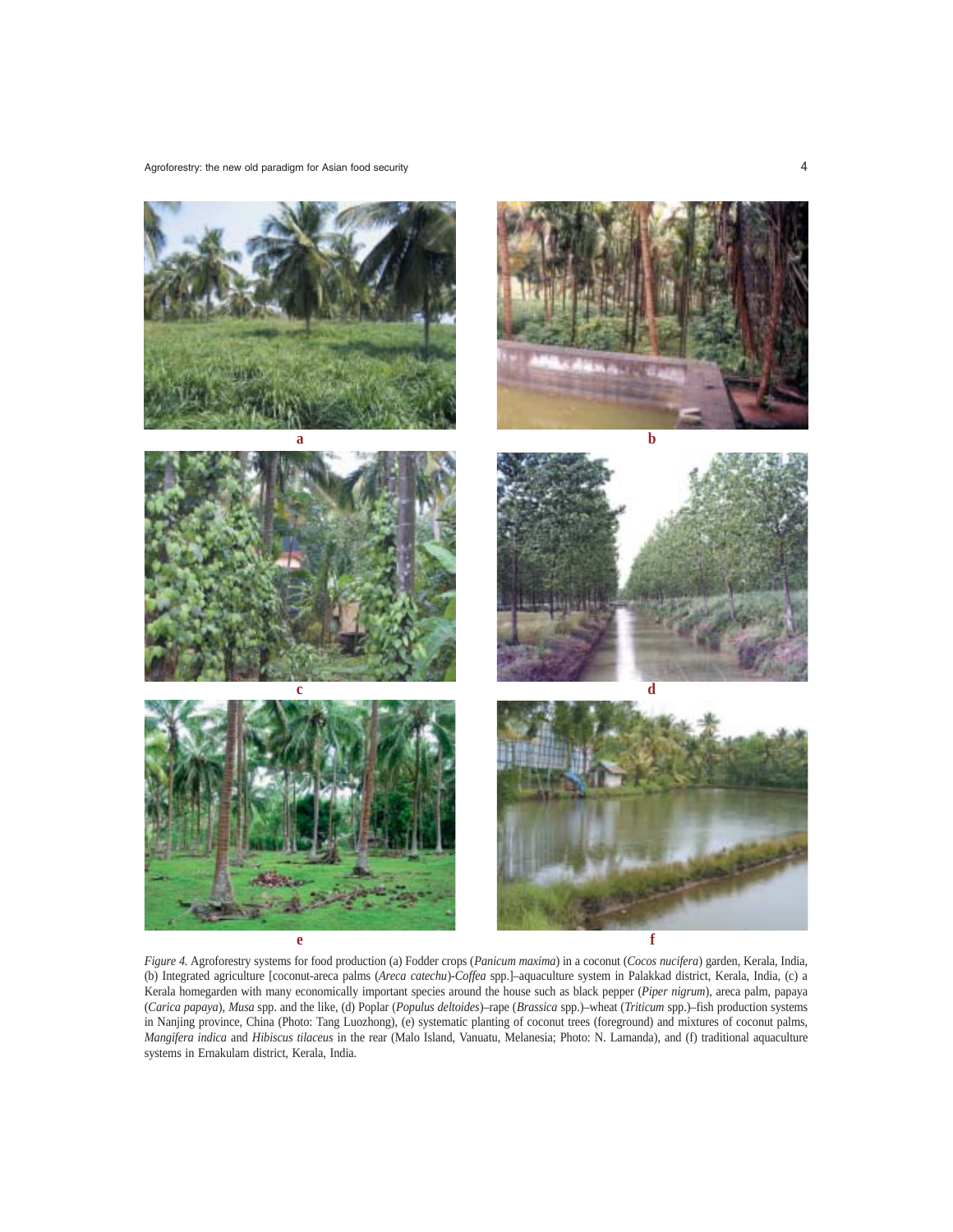

*Figure 4.* Agroforestry systems for food production (a) Fodder crops (*Panicum maxima*) in a coconut (*Cocos nucifera*) garden, Kerala, India, (b) Integrated agriculture [coconut-areca palms (*Areca catechu*)-*Coffea* spp.]–aquaculture system in Palakkad district, Kerala, India, (c) a Kerala homegarden with many economically important species around the house such as black pepper (*Piper nigrum*), areca palm, papaya (*Carica papaya*), *Musa* spp. and the like, (d) Poplar (*Populus deltoides*)–rape (*Brassica* spp.)–wheat (*Triticum* spp.)–fish production systems in Nanjing province, China (Photo: Tang Luozhong), (e) systematic planting of coconut trees (foreground) and mixtures of coconut palms, *Mangifera indica* and *Hibiscus tilaceus* in the rear (Malo Island, Vanuatu, Melanesia; Photo: N. Lamanda), and (f) traditional aquaculture systems in Ernakulam district, Kerala, India.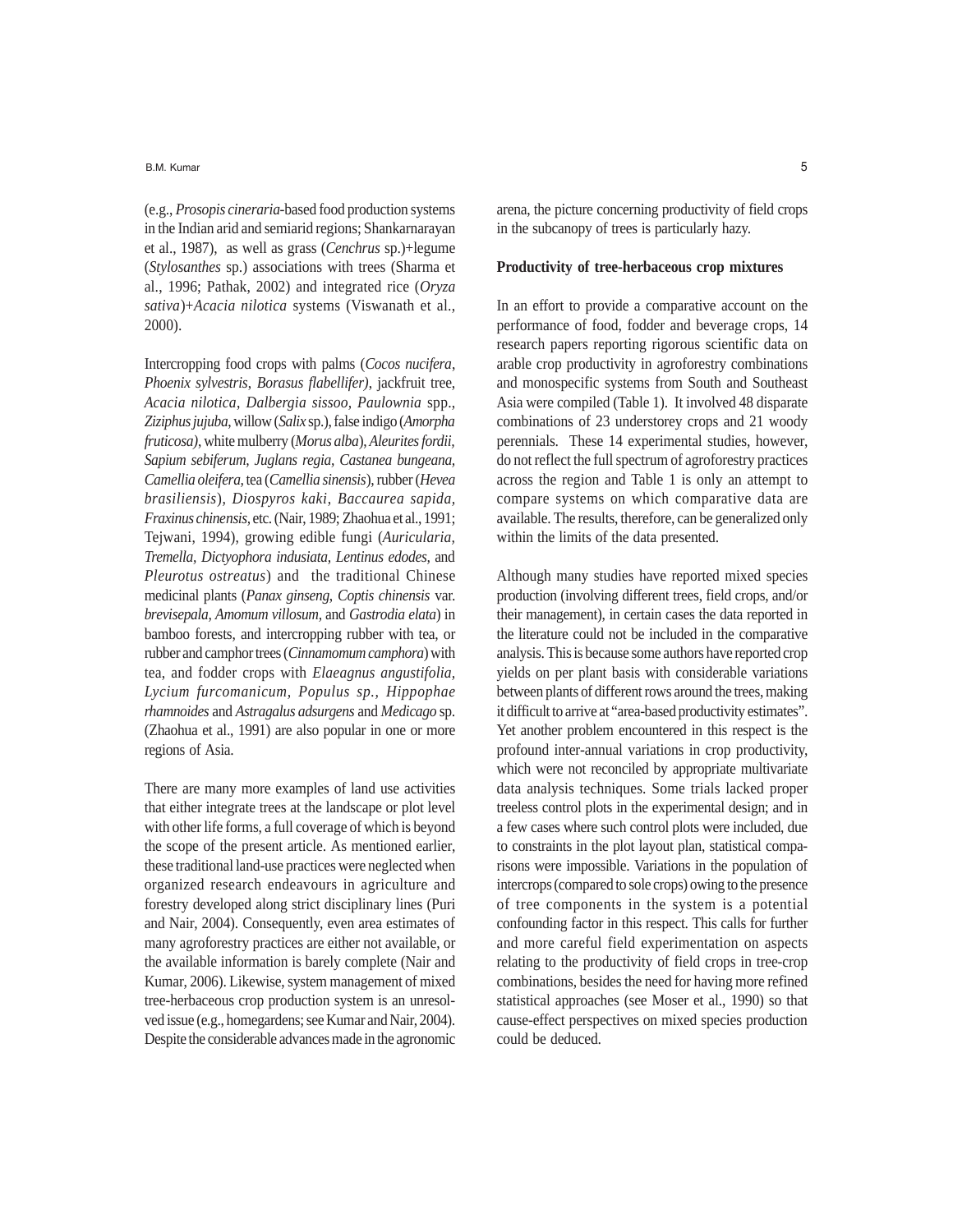(e.g., *Prosopis cineraria*-based food production systems in the Indian arid and semiarid regions; Shankarnarayan et al., 1987), as well as grass (*Cenchrus* sp.)+legume (*Stylosanthes* sp.) associations with trees (Sharma et al., 1996; Pathak, 2002) and integrated rice (*Oryza sativa*)+*Acacia nilotica* systems (Viswanath et al., 2000).

Intercropping food crops with palms (*Cocos nucifera*, *Phoenix sylvestris*, *Borasus flabellifer)*, jackfruit tree, *Acacia nilotica*, *Dalbergia sissoo, Paulownia* spp., *Ziziphus jujuba*, willow (*Salix* sp.), false indigo (*Amorpha fruticosa)*, white mulberry (*Morus alba*), *Aleurites fordii, Sapium sebiferum, Juglans regia, Castanea bungeana, Camellia oleifera,* tea (*Camellia sinensis*)*,*rubber (*Hevea brasiliensis*)*, Diospyros kaki*, *Baccaurea sapida, Fraxinus chinensis,* etc. (Nair, 1989; Zhaohua et al., 1991; Tejwani, 1994), growing edible fungi (*Auricularia, Tremella, Dictyophora indusiata, Lentinus edodes,* and *Pleurotus ostreatus*) and the traditional Chinese medicinal plants (*Panax ginseng*, *Coptis chinensis* var. *brevisepala, Amomum villosum,* and *Gastrodia elata*) in bamboo forests, and intercropping rubber with tea, or rubber and camphor trees (*Cinnamomum camphora*) with tea, and fodder crops with *Elaeagnus angustifolia, Lycium furcomanicum, Populus sp., Hippophae rhamnoides* and *Astragalus adsurgens* and *Medicago* sp. (Zhaohua et al., 1991) are also popular in one or more regions of Asia.

There are many more examples of land use activities that either integrate trees at the landscape or plot level with other life forms, a full coverage of which is beyond the scope of the present article. As mentioned earlier, these traditional land-use practices were neglected when organized research endeavours in agriculture and forestry developed along strict disciplinary lines (Puri and Nair, 2004). Consequently, even area estimates of many agroforestry practices are either not available, or the available information is barely complete (Nair and Kumar, 2006). Likewise, system management of mixed tree-herbaceous crop production system is an unresolved issue (e.g., homegardens; see Kumar and Nair, 2004). Despite the considerable advances made in the agronomic

arena, the picture concerning productivity of field crops in the subcanopy of trees is particularly hazy.

#### **Productivity of tree-herbaceous crop mixtures**

In an effort to provide a comparative account on the performance of food, fodder and beverage crops, 14 research papers reporting rigorous scientific data on arable crop productivity in agroforestry combinations and monospecific systems from South and Southeast Asia were compiled (Table 1). It involved 48 disparate combinations of 23 understorey crops and 21 woody perennials. These 14 experimental studies, however, do not reflect the full spectrum of agroforestry practices across the region and Table 1 is only an attempt to compare systems on which comparative data are available. The results, therefore, can be generalized only within the limits of the data presented.

Although many studies have reported mixed species production (involving different trees, field crops, and/or their management), in certain cases the data reported in the literature could not be included in the comparative analysis. This is because some authors have reported crop yields on per plant basis with considerable variations between plants of different rows around the trees, making it difficult to arrive at "area-based productivity estimates". Yet another problem encountered in this respect is the profound inter-annual variations in crop productivity, which were not reconciled by appropriate multivariate data analysis techniques. Some trials lacked proper treeless control plots in the experimental design; and in a few cases where such control plots were included, due to constraints in the plot layout plan, statistical comparisons were impossible. Variations in the population of intercrops (compared to sole crops) owing to the presence of tree components in the system is a potential confounding factor in this respect. This calls for further and more careful field experimentation on aspects relating to the productivity of field crops in tree-crop combinations, besides the need for having more refined statistical approaches (see Moser et al., 1990) so that cause-effect perspectives on mixed species production could be deduced.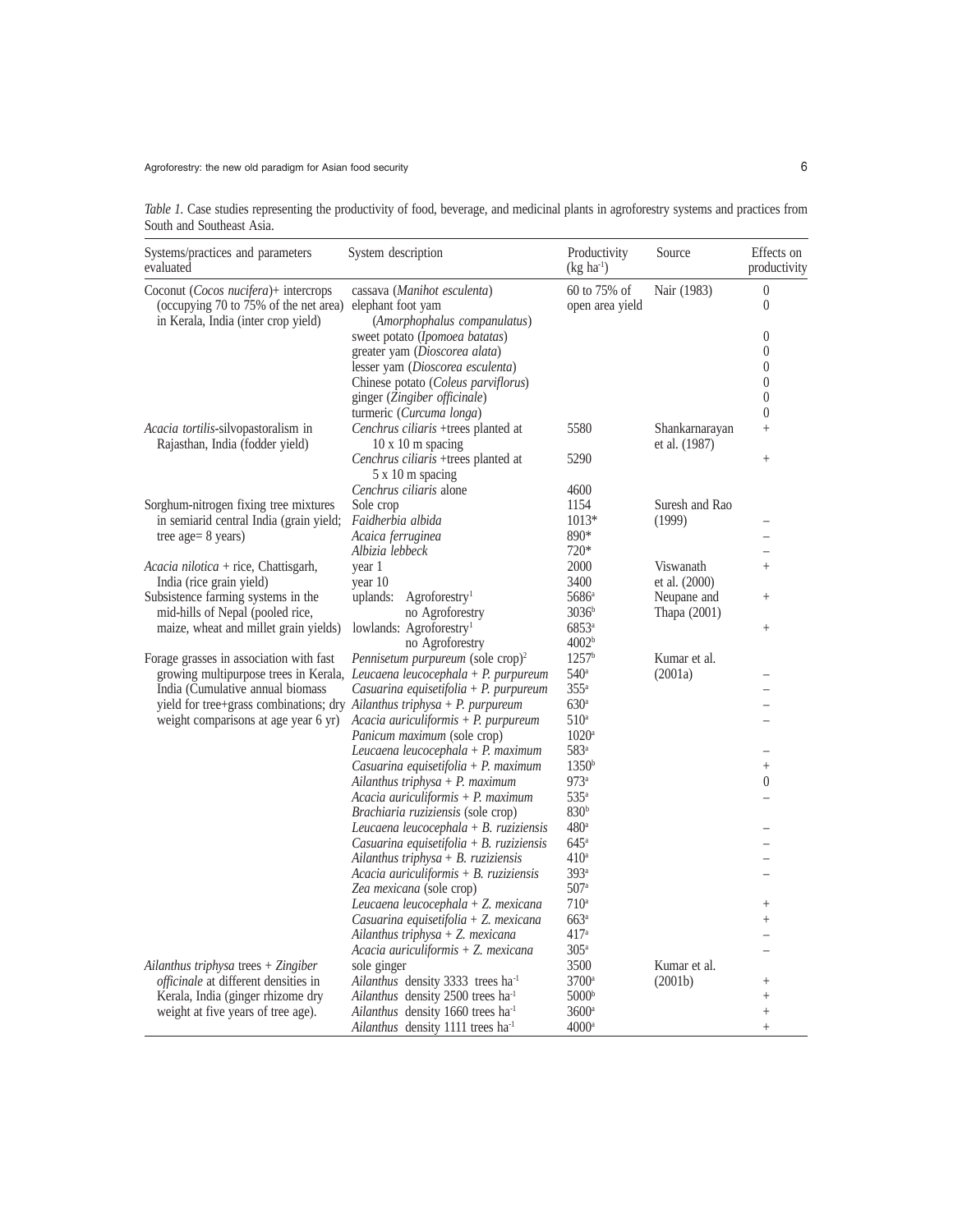*Table 1.* Case studies representing the productivity of food, beverage, and medicinal plants in agroforestry systems and practices from South and Southeast Asia.

| 60 to 75% of<br>Nair (1983)<br>$\boldsymbol{0}$<br>Coconut (Cocos nucifera)+ intercrops<br>cassava (Manihot esculenta)<br>(occupying 70 to 75% of the net area)<br>$\boldsymbol{0}$<br>elephant foot yam<br>open area yield<br>in Kerala, India (inter crop yield)<br>(Amorphophalus companulatus)<br>$\boldsymbol{0}$<br>sweet potato ( <i>Ipomoea batatas</i> )<br>$\overline{0}$<br>greater yam (Dioscorea alata)<br>$\boldsymbol{0}$<br>lesser yam (Dioscorea esculenta)<br>$\boldsymbol{0}$<br>Chinese potato (Coleus parviflorus)<br>$\overline{0}$<br>ginger (Zingiber officinale)<br>$\overline{0}$<br>turmeric (Curcuma longa)<br>Cenchrus ciliaris +trees planted at<br>5580<br><i>Acacia tortilis-silvopastoralism in</i><br>Shankarnarayan<br>$^{+}$<br>Rajasthan, India (fodder yield)<br>$10 \times 10$ m spacing<br>et al. (1987)<br>Cenchrus ciliaris +trees planted at<br>5290<br>$^{+}$<br>5 x 10 m spacing<br>Cenchrus ciliaris alone<br>4600<br>Suresh and Rao<br>Sorghum-nitrogen fixing tree mixtures<br>Sole crop<br>1154<br>$1013*$<br>in semiarid central India (grain yield;<br>Faidherbia albida<br>(1999)<br>890*<br>tree age = $8$ years)<br>Acaica ferruginea<br>$720*$<br>Albizia lebbeck<br>$\overline{\phantom{0}}$<br>2000<br>Viswanath<br>Acacia nilotica + rice, Chattisgarh,<br>year 1<br>$\ddot{}$<br>India (rice grain yield)<br>year 10<br>3400<br>et al. (2000)<br>Subsistence farming systems in the<br>Agrofo<br>restry <sup>1</sup><br>5686 <sup>a</sup><br>Neupane and<br>uplands:<br> | Systems/practices and parameters<br>evaluated | System description                            | Productivity<br>$(kg ha-1)$ | Source | Effects on<br>productivity |
|-------------------------------------------------------------------------------------------------------------------------------------------------------------------------------------------------------------------------------------------------------------------------------------------------------------------------------------------------------------------------------------------------------------------------------------------------------------------------------------------------------------------------------------------------------------------------------------------------------------------------------------------------------------------------------------------------------------------------------------------------------------------------------------------------------------------------------------------------------------------------------------------------------------------------------------------------------------------------------------------------------------------------------------------------------------------------------------------------------------------------------------------------------------------------------------------------------------------------------------------------------------------------------------------------------------------------------------------------------------------------------------------------------------------------------------------------------------------------------------------------------------------------------------|-----------------------------------------------|-----------------------------------------------|-----------------------------|--------|----------------------------|
|                                                                                                                                                                                                                                                                                                                                                                                                                                                                                                                                                                                                                                                                                                                                                                                                                                                                                                                                                                                                                                                                                                                                                                                                                                                                                                                                                                                                                                                                                                                                     |                                               |                                               |                             |        |                            |
|                                                                                                                                                                                                                                                                                                                                                                                                                                                                                                                                                                                                                                                                                                                                                                                                                                                                                                                                                                                                                                                                                                                                                                                                                                                                                                                                                                                                                                                                                                                                     |                                               |                                               |                             |        |                            |
|                                                                                                                                                                                                                                                                                                                                                                                                                                                                                                                                                                                                                                                                                                                                                                                                                                                                                                                                                                                                                                                                                                                                                                                                                                                                                                                                                                                                                                                                                                                                     |                                               |                                               |                             |        |                            |
|                                                                                                                                                                                                                                                                                                                                                                                                                                                                                                                                                                                                                                                                                                                                                                                                                                                                                                                                                                                                                                                                                                                                                                                                                                                                                                                                                                                                                                                                                                                                     |                                               |                                               |                             |        |                            |
|                                                                                                                                                                                                                                                                                                                                                                                                                                                                                                                                                                                                                                                                                                                                                                                                                                                                                                                                                                                                                                                                                                                                                                                                                                                                                                                                                                                                                                                                                                                                     |                                               |                                               |                             |        |                            |
|                                                                                                                                                                                                                                                                                                                                                                                                                                                                                                                                                                                                                                                                                                                                                                                                                                                                                                                                                                                                                                                                                                                                                                                                                                                                                                                                                                                                                                                                                                                                     |                                               |                                               |                             |        |                            |
|                                                                                                                                                                                                                                                                                                                                                                                                                                                                                                                                                                                                                                                                                                                                                                                                                                                                                                                                                                                                                                                                                                                                                                                                                                                                                                                                                                                                                                                                                                                                     |                                               |                                               |                             |        |                            |
|                                                                                                                                                                                                                                                                                                                                                                                                                                                                                                                                                                                                                                                                                                                                                                                                                                                                                                                                                                                                                                                                                                                                                                                                                                                                                                                                                                                                                                                                                                                                     |                                               |                                               |                             |        |                            |
|                                                                                                                                                                                                                                                                                                                                                                                                                                                                                                                                                                                                                                                                                                                                                                                                                                                                                                                                                                                                                                                                                                                                                                                                                                                                                                                                                                                                                                                                                                                                     |                                               |                                               |                             |        |                            |
|                                                                                                                                                                                                                                                                                                                                                                                                                                                                                                                                                                                                                                                                                                                                                                                                                                                                                                                                                                                                                                                                                                                                                                                                                                                                                                                                                                                                                                                                                                                                     |                                               |                                               |                             |        |                            |
|                                                                                                                                                                                                                                                                                                                                                                                                                                                                                                                                                                                                                                                                                                                                                                                                                                                                                                                                                                                                                                                                                                                                                                                                                                                                                                                                                                                                                                                                                                                                     |                                               |                                               |                             |        |                            |
|                                                                                                                                                                                                                                                                                                                                                                                                                                                                                                                                                                                                                                                                                                                                                                                                                                                                                                                                                                                                                                                                                                                                                                                                                                                                                                                                                                                                                                                                                                                                     |                                               |                                               |                             |        |                            |
|                                                                                                                                                                                                                                                                                                                                                                                                                                                                                                                                                                                                                                                                                                                                                                                                                                                                                                                                                                                                                                                                                                                                                                                                                                                                                                                                                                                                                                                                                                                                     |                                               |                                               |                             |        |                            |
|                                                                                                                                                                                                                                                                                                                                                                                                                                                                                                                                                                                                                                                                                                                                                                                                                                                                                                                                                                                                                                                                                                                                                                                                                                                                                                                                                                                                                                                                                                                                     |                                               |                                               |                             |        |                            |
|                                                                                                                                                                                                                                                                                                                                                                                                                                                                                                                                                                                                                                                                                                                                                                                                                                                                                                                                                                                                                                                                                                                                                                                                                                                                                                                                                                                                                                                                                                                                     |                                               |                                               |                             |        |                            |
|                                                                                                                                                                                                                                                                                                                                                                                                                                                                                                                                                                                                                                                                                                                                                                                                                                                                                                                                                                                                                                                                                                                                                                                                                                                                                                                                                                                                                                                                                                                                     |                                               |                                               |                             |        |                            |
|                                                                                                                                                                                                                                                                                                                                                                                                                                                                                                                                                                                                                                                                                                                                                                                                                                                                                                                                                                                                                                                                                                                                                                                                                                                                                                                                                                                                                                                                                                                                     |                                               |                                               |                             |        |                            |
|                                                                                                                                                                                                                                                                                                                                                                                                                                                                                                                                                                                                                                                                                                                                                                                                                                                                                                                                                                                                                                                                                                                                                                                                                                                                                                                                                                                                                                                                                                                                     |                                               |                                               |                             |        |                            |
|                                                                                                                                                                                                                                                                                                                                                                                                                                                                                                                                                                                                                                                                                                                                                                                                                                                                                                                                                                                                                                                                                                                                                                                                                                                                                                                                                                                                                                                                                                                                     |                                               |                                               |                             |        |                            |
|                                                                                                                                                                                                                                                                                                                                                                                                                                                                                                                                                                                                                                                                                                                                                                                                                                                                                                                                                                                                                                                                                                                                                                                                                                                                                                                                                                                                                                                                                                                                     |                                               |                                               |                             |        |                            |
|                                                                                                                                                                                                                                                                                                                                                                                                                                                                                                                                                                                                                                                                                                                                                                                                                                                                                                                                                                                                                                                                                                                                                                                                                                                                                                                                                                                                                                                                                                                                     |                                               |                                               |                             |        |                            |
|                                                                                                                                                                                                                                                                                                                                                                                                                                                                                                                                                                                                                                                                                                                                                                                                                                                                                                                                                                                                                                                                                                                                                                                                                                                                                                                                                                                                                                                                                                                                     |                                               |                                               |                             |        |                            |
|                                                                                                                                                                                                                                                                                                                                                                                                                                                                                                                                                                                                                                                                                                                                                                                                                                                                                                                                                                                                                                                                                                                                                                                                                                                                                                                                                                                                                                                                                                                                     |                                               |                                               |                             |        |                            |
|                                                                                                                                                                                                                                                                                                                                                                                                                                                                                                                                                                                                                                                                                                                                                                                                                                                                                                                                                                                                                                                                                                                                                                                                                                                                                                                                                                                                                                                                                                                                     |                                               |                                               |                             |        |                            |
|                                                                                                                                                                                                                                                                                                                                                                                                                                                                                                                                                                                                                                                                                                                                                                                                                                                                                                                                                                                                                                                                                                                                                                                                                                                                                                                                                                                                                                                                                                                                     |                                               |                                               |                             |        |                            |
|                                                                                                                                                                                                                                                                                                                                                                                                                                                                                                                                                                                                                                                                                                                                                                                                                                                                                                                                                                                                                                                                                                                                                                                                                                                                                                                                                                                                                                                                                                                                     |                                               |                                               |                             |        |                            |
|                                                                                                                                                                                                                                                                                                                                                                                                                                                                                                                                                                                                                                                                                                                                                                                                                                                                                                                                                                                                                                                                                                                                                                                                                                                                                                                                                                                                                                                                                                                                     |                                               |                                               |                             |        |                            |
|                                                                                                                                                                                                                                                                                                                                                                                                                                                                                                                                                                                                                                                                                                                                                                                                                                                                                                                                                                                                                                                                                                                                                                                                                                                                                                                                                                                                                                                                                                                                     |                                               |                                               |                             |        |                            |
|                                                                                                                                                                                                                                                                                                                                                                                                                                                                                                                                                                                                                                                                                                                                                                                                                                                                                                                                                                                                                                                                                                                                                                                                                                                                                                                                                                                                                                                                                                                                     |                                               |                                               |                             |        |                            |
|                                                                                                                                                                                                                                                                                                                                                                                                                                                                                                                                                                                                                                                                                                                                                                                                                                                                                                                                                                                                                                                                                                                                                                                                                                                                                                                                                                                                                                                                                                                                     |                                               |                                               |                             |        |                            |
|                                                                                                                                                                                                                                                                                                                                                                                                                                                                                                                                                                                                                                                                                                                                                                                                                                                                                                                                                                                                                                                                                                                                                                                                                                                                                                                                                                                                                                                                                                                                     |                                               |                                               |                             |        |                            |
|                                                                                                                                                                                                                                                                                                                                                                                                                                                                                                                                                                                                                                                                                                                                                                                                                                                                                                                                                                                                                                                                                                                                                                                                                                                                                                                                                                                                                                                                                                                                     |                                               |                                               |                             |        |                            |
|                                                                                                                                                                                                                                                                                                                                                                                                                                                                                                                                                                                                                                                                                                                                                                                                                                                                                                                                                                                                                                                                                                                                                                                                                                                                                                                                                                                                                                                                                                                                     |                                               |                                               |                             |        |                            |
|                                                                                                                                                                                                                                                                                                                                                                                                                                                                                                                                                                                                                                                                                                                                                                                                                                                                                                                                                                                                                                                                                                                                                                                                                                                                                                                                                                                                                                                                                                                                     |                                               |                                               |                             |        |                            |
|                                                                                                                                                                                                                                                                                                                                                                                                                                                                                                                                                                                                                                                                                                                                                                                                                                                                                                                                                                                                                                                                                                                                                                                                                                                                                                                                                                                                                                                                                                                                     |                                               |                                               |                             |        |                            |
|                                                                                                                                                                                                                                                                                                                                                                                                                                                                                                                                                                                                                                                                                                                                                                                                                                                                                                                                                                                                                                                                                                                                                                                                                                                                                                                                                                                                                                                                                                                                     |                                               |                                               |                             |        |                            |
|                                                                                                                                                                                                                                                                                                                                                                                                                                                                                                                                                                                                                                                                                                                                                                                                                                                                                                                                                                                                                                                                                                                                                                                                                                                                                                                                                                                                                                                                                                                                     |                                               |                                               |                             |        |                            |
|                                                                                                                                                                                                                                                                                                                                                                                                                                                                                                                                                                                                                                                                                                                                                                                                                                                                                                                                                                                                                                                                                                                                                                                                                                                                                                                                                                                                                                                                                                                                     |                                               |                                               |                             |        |                            |
|                                                                                                                                                                                                                                                                                                                                                                                                                                                                                                                                                                                                                                                                                                                                                                                                                                                                                                                                                                                                                                                                                                                                                                                                                                                                                                                                                                                                                                                                                                                                     |                                               |                                               |                             |        |                            |
|                                                                                                                                                                                                                                                                                                                                                                                                                                                                                                                                                                                                                                                                                                                                                                                                                                                                                                                                                                                                                                                                                                                                                                                                                                                                                                                                                                                                                                                                                                                                     |                                               |                                               |                             |        |                            |
|                                                                                                                                                                                                                                                                                                                                                                                                                                                                                                                                                                                                                                                                                                                                                                                                                                                                                                                                                                                                                                                                                                                                                                                                                                                                                                                                                                                                                                                                                                                                     |                                               |                                               |                             |        |                            |
|                                                                                                                                                                                                                                                                                                                                                                                                                                                                                                                                                                                                                                                                                                                                                                                                                                                                                                                                                                                                                                                                                                                                                                                                                                                                                                                                                                                                                                                                                                                                     |                                               |                                               |                             |        |                            |
|                                                                                                                                                                                                                                                                                                                                                                                                                                                                                                                                                                                                                                                                                                                                                                                                                                                                                                                                                                                                                                                                                                                                                                                                                                                                                                                                                                                                                                                                                                                                     |                                               |                                               |                             |        |                            |
|                                                                                                                                                                                                                                                                                                                                                                                                                                                                                                                                                                                                                                                                                                                                                                                                                                                                                                                                                                                                                                                                                                                                                                                                                                                                                                                                                                                                                                                                                                                                     |                                               |                                               |                             |        |                            |
|                                                                                                                                                                                                                                                                                                                                                                                                                                                                                                                                                                                                                                                                                                                                                                                                                                                                                                                                                                                                                                                                                                                                                                                                                                                                                                                                                                                                                                                                                                                                     |                                               | Ailanthus density 1111 trees ha <sup>-1</sup> | $4000^{\circ}$              |        | $\ddot{}$                  |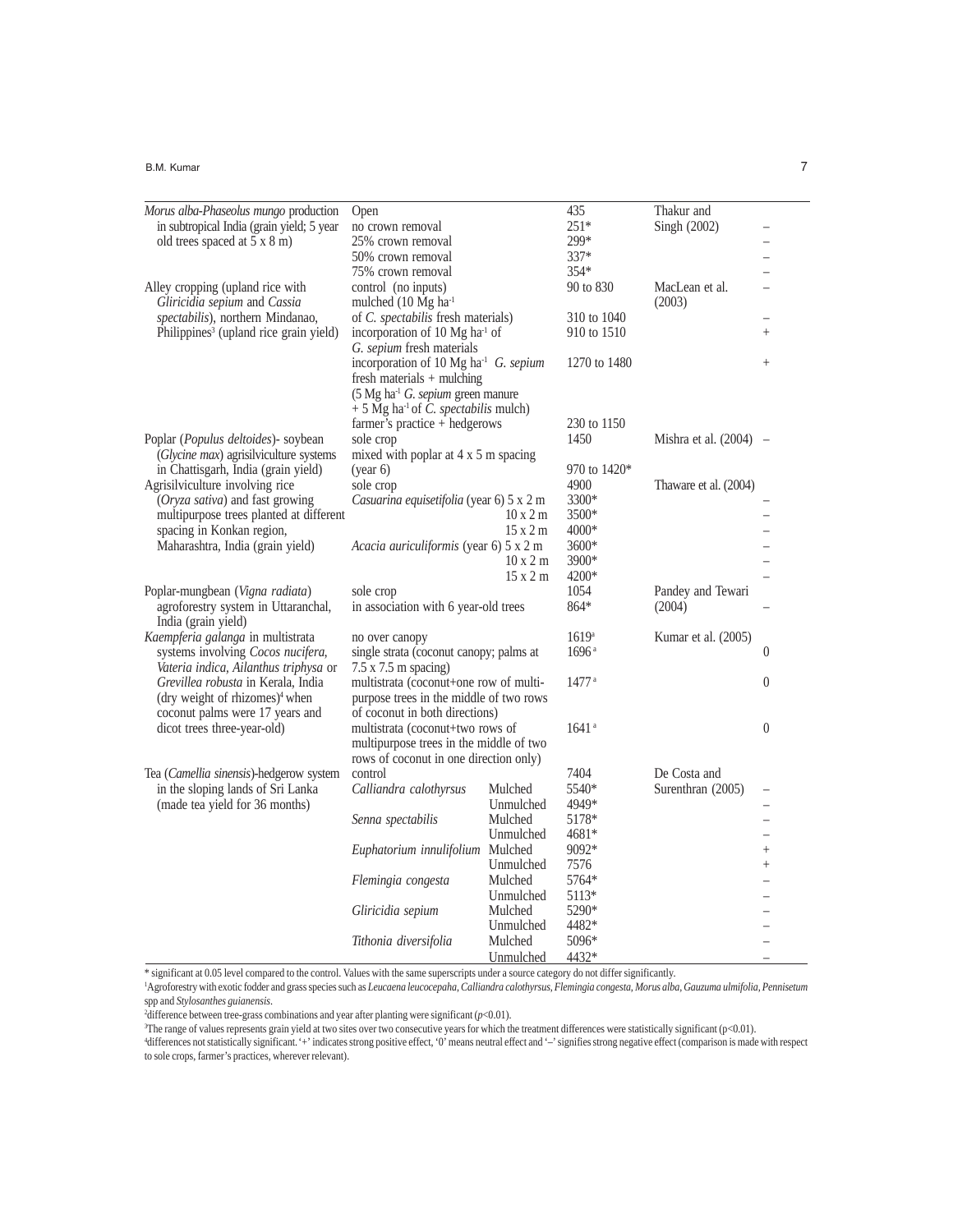#### B.M. Kumar 7 7 American control of the state of the state of the state of the state of the state of the state of the state of the state of the state of the state of the state of the state of the state of the state of the s

| <i>Morus alba-Phaseolus mungo production</i>       | Open                                                                                                                                                                                                                                                                                        |                                                                   | 435               | Thakur and               |                |
|----------------------------------------------------|---------------------------------------------------------------------------------------------------------------------------------------------------------------------------------------------------------------------------------------------------------------------------------------------|-------------------------------------------------------------------|-------------------|--------------------------|----------------|
| in subtropical India (grain yield; 5 year          | no crown removal                                                                                                                                                                                                                                                                            |                                                                   | $251*$            | Singh (2002)             |                |
| old trees spaced at 5 x 8 m)                       | 25% crown removal                                                                                                                                                                                                                                                                           |                                                                   | 299*              |                          |                |
|                                                    | 50% crown removal                                                                                                                                                                                                                                                                           |                                                                   | $337*$            |                          |                |
|                                                    | 75% crown removal                                                                                                                                                                                                                                                                           |                                                                   | 354*              |                          |                |
| Alley cropping (upland rice with                   | control (no inputs)                                                                                                                                                                                                                                                                         |                                                                   | 90 to 830         | MacLean et al.           |                |
| Gliricidia sepium and Cassia                       | mulched (10 Mg ha <sup>-1</sup>                                                                                                                                                                                                                                                             |                                                                   |                   | (2003)                   |                |
| spectabilis), northern Mindanao,                   | of C. spectabilis fresh materials)                                                                                                                                                                                                                                                          |                                                                   | 310 to 1040       |                          |                |
| Philippines <sup>3</sup> (upland rice grain yield) | incorporation of 10 Mg ha <sup>-1</sup> of                                                                                                                                                                                                                                                  |                                                                   | 910 to 1510       |                          | $\ddot{}$      |
|                                                    | G. sepium fresh materials                                                                                                                                                                                                                                                                   |                                                                   |                   |                          |                |
|                                                    |                                                                                                                                                                                                                                                                                             | incorporation of 10 Mg ha <sup>-1</sup> G. sepium<br>1270 to 1480 |                   |                          | $\ddot{}$      |
|                                                    | fresh materials + mulching                                                                                                                                                                                                                                                                  |                                                                   |                   |                          |                |
|                                                    | (5 Mg ha <sup>-1</sup> G. sepium green manure                                                                                                                                                                                                                                               |                                                                   |                   |                          |                |
|                                                    | $+5$ Mg ha <sup>-1</sup> of <i>C. spectabilis</i> mulch)                                                                                                                                                                                                                                    |                                                                   |                   |                          |                |
|                                                    | farmer's practice + hedgerows                                                                                                                                                                                                                                                               |                                                                   | 230 to 1150       |                          |                |
| Poplar ( <i>Populus deltoides</i> ) - soybean      | sole crop                                                                                                                                                                                                                                                                                   |                                                                   | 1450              | Mishra et al. $(2004)$ – |                |
| (Glycine max) agrisilviculture systems             | mixed with poplar at $4 \times 5$ m spacing                                                                                                                                                                                                                                                 |                                                                   |                   |                          |                |
| in Chattisgarh, India (grain yield)                | (year 6)                                                                                                                                                                                                                                                                                    |                                                                   | 970 to 1420*      |                          |                |
| Agrisilviculture involving rice                    | sole crop                                                                                                                                                                                                                                                                                   |                                                                   | 4900              | Thaware et al. (2004)    |                |
| (Oryza sativa) and fast growing                    | Casuarina equisetifolia (year 6) 5 x 2 m                                                                                                                                                                                                                                                    |                                                                   | 3300*             |                          |                |
| multipurpose trees planted at different            |                                                                                                                                                                                                                                                                                             | $10 \times 2$ m                                                   | 3500*             |                          |                |
| spacing in Konkan region,                          |                                                                                                                                                                                                                                                                                             | $15 \times 2$ m                                                   | 4000*             |                          |                |
| Maharashtra, India (grain yield)                   | Acacia auriculiformis (year 6) 5 x 2 m<br>$10 \times 2$ m                                                                                                                                                                                                                                   |                                                                   | 3600*             |                          |                |
|                                                    |                                                                                                                                                                                                                                                                                             |                                                                   | 3900*             |                          |                |
|                                                    |                                                                                                                                                                                                                                                                                             | 15 x 2 m                                                          | 4200*             |                          |                |
|                                                    |                                                                                                                                                                                                                                                                                             |                                                                   | 1054              |                          |                |
| Poplar-mungbean ( <i>Vigna radiata</i> )           | sole crop<br>in association with 6 year-old trees                                                                                                                                                                                                                                           |                                                                   |                   | Pandey and Tewari        |                |
| agroforestry system in Uttaranchal,                |                                                                                                                                                                                                                                                                                             |                                                                   | 864*              | (2004)                   |                |
| India (grain yield)                                |                                                                                                                                                                                                                                                                                             |                                                                   |                   |                          |                |
|                                                    | Kaempferia galanga in multistrata<br>no over canopy<br>systems involving Cocos nucifera,<br>single strata (coconut canopy; palms at<br>Vateria indica, Ailanthus triphysa or<br>$7.5 \times 7.5$ m spacing)<br>Grevillea robusta in Kerala, India<br>multistrata (coconut+one row of multi- |                                                                   | 1619 <sup>a</sup> | Kumar et al. (2005)      |                |
|                                                    |                                                                                                                                                                                                                                                                                             |                                                                   | 1696 <sup>a</sup> |                          | $\theta$       |
|                                                    |                                                                                                                                                                                                                                                                                             |                                                                   |                   |                          |                |
|                                                    |                                                                                                                                                                                                                                                                                             |                                                                   | 1477 <sup>a</sup> |                          | $\theta$       |
| (dry weight of rhizomes) <sup>4</sup> when         | purpose trees in the middle of two rows                                                                                                                                                                                                                                                     |                                                                   |                   |                          |                |
| coconut palms were 17 years and                    | of coconut in both directions)                                                                                                                                                                                                                                                              |                                                                   |                   |                          |                |
| dicot trees three-year-old)                        | multistrata (coconut+two rows of<br>multipurpose trees in the middle of two                                                                                                                                                                                                                 |                                                                   | 1641 <sup>a</sup> |                          | $\overline{0}$ |
|                                                    |                                                                                                                                                                                                                                                                                             |                                                                   |                   |                          |                |
|                                                    | rows of coconut in one direction only)                                                                                                                                                                                                                                                      |                                                                   |                   |                          |                |
| Tea ( <i>Camellia sinensis</i> )-hedgerow system   | control                                                                                                                                                                                                                                                                                     |                                                                   | 7404              | De Costa and             |                |
| in the sloping lands of Sri Lanka                  | Calliandra calothyrsus                                                                                                                                                                                                                                                                      | Mulched                                                           | 5540*             | Surenthran (2005)        |                |
| (made tea yield for 36 months)                     |                                                                                                                                                                                                                                                                                             | Unmulched                                                         | 4949*             |                          |                |
|                                                    | Senna spectabilis                                                                                                                                                                                                                                                                           | Mulched                                                           | 5178*             |                          |                |
|                                                    |                                                                                                                                                                                                                                                                                             | Unmulched                                                         | 4681*             |                          | -              |
|                                                    | Euphatorium innulifolium Mulched                                                                                                                                                                                                                                                            |                                                                   | 9092*             |                          | $\ddot{}$      |
|                                                    |                                                                                                                                                                                                                                                                                             | Unmulched                                                         | 7576              |                          | $^{+}$         |
|                                                    | Flemingia congesta                                                                                                                                                                                                                                                                          | Mulched                                                           | 5764*             |                          |                |
|                                                    |                                                                                                                                                                                                                                                                                             | Unmulched                                                         | 5113*             |                          | $\overline{a}$ |
|                                                    | Gliricidia sepium                                                                                                                                                                                                                                                                           | Mulched                                                           | 5290*             |                          |                |
|                                                    |                                                                                                                                                                                                                                                                                             | Unmulched                                                         | 4482*             |                          |                |
|                                                    | Tithonia diversifolia                                                                                                                                                                                                                                                                       | Mulched                                                           | 5096*             |                          |                |
|                                                    |                                                                                                                                                                                                                                                                                             | Unmulched                                                         | 4432*             |                          |                |

\* significant at 0.05 level compared to the control. Values with the same superscripts under a source category do not differ significantly.<br><sup>1</sup>Agroforestry with exotic fodder and grass species such as Leucaena leucocepaha, spp and *Stylosanthes guianensis*.

2 difference between tree-grass combinations and year after planting were significant (*p*<0.01).

<sup>3</sup>The range of values represents grain yield at two sites over two consecutive years for which the treatment differences were statistically significant (p<0.01).<br><sup>4</sup>differences not statistically significant. '+' indicates to sole crops, farmer's practices, wherever relevant).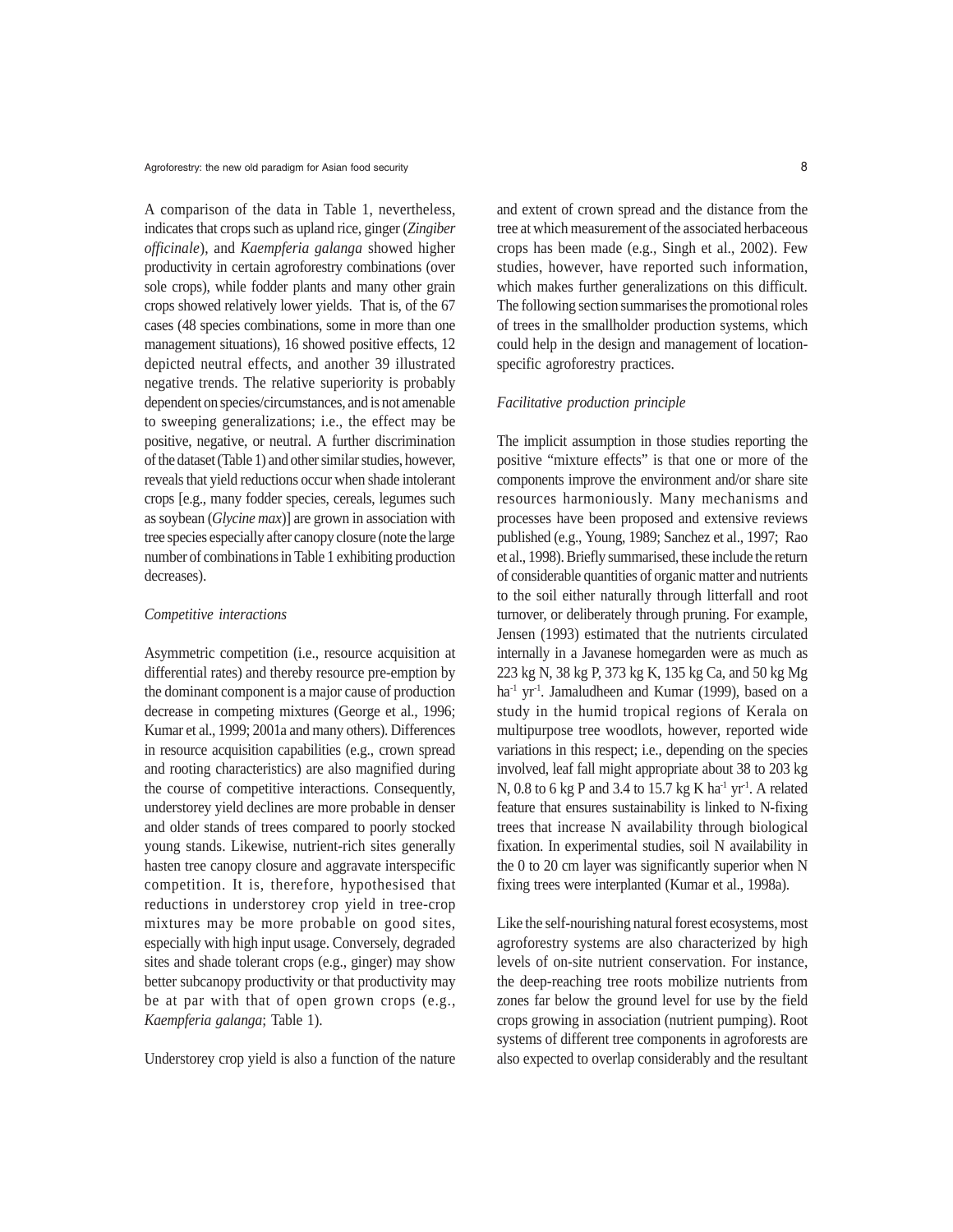Agroforestry: the new old paradigm for Asian food security **8** 8

A comparison of the data in Table 1, nevertheless, indicates that crops such as upland rice, ginger (*Zingiber officinale*), and *Kaempferia galanga* showed higher productivity in certain agroforestry combinations (over sole crops), while fodder plants and many other grain crops showed relatively lower yields. That is, of the 67 cases (48 species combinations, some in more than one management situations), 16 showed positive effects, 12 depicted neutral effects, and another 39 illustrated negative trends. The relative superiority is probably dependent on species/circumstances, and is not amenable to sweeping generalizations; i.e., the effect may be positive, negative, or neutral. A further discrimination of the dataset (Table 1) and other similar studies, however, reveals that yield reductions occur when shade intolerant crops [e.g., many fodder species, cereals, legumes such as soybean (*Glycine max*)] are grown in association with tree species especially after canopy closure (note the large number of combinations in Table 1 exhibiting production decreases).

#### *Competitive interactions*

Asymmetric competition (i.e., resource acquisition at differential rates) and thereby resource pre-emption by the dominant component is a major cause of production decrease in competing mixtures (George et al., 1996; Kumar et al., 1999; 2001a and many others). Differences in resource acquisition capabilities (e.g., crown spread and rooting characteristics) are also magnified during the course of competitive interactions. Consequently, understorey yield declines are more probable in denser and older stands of trees compared to poorly stocked young stands. Likewise, nutrient-rich sites generally hasten tree canopy closure and aggravate interspecific competition. It is, therefore, hypothesised that reductions in understorey crop yield in tree-crop mixtures may be more probable on good sites, especially with high input usage. Conversely, degraded sites and shade tolerant crops (e.g., ginger) may show better subcanopy productivity or that productivity may be at par with that of open grown crops (e.g., *Kaempferia galanga*; Table 1).

Understorey crop yield is also a function of the nature

and extent of crown spread and the distance from the tree at which measurement of the associated herbaceous crops has been made (e.g., Singh et al., 2002). Few studies, however, have reported such information, which makes further generalizations on this difficult. The following section summarises the promotional roles of trees in the smallholder production systems, which could help in the design and management of locationspecific agroforestry practices.

### *Facilitative production principle*

The implicit assumption in those studies reporting the positive "mixture effects" is that one or more of the components improve the environment and/or share site resources harmoniously. Many mechanisms and processes have been proposed and extensive reviews published (e.g., Young, 1989; Sanchez et al., 1997; Rao et al., 1998). Briefly summarised, these include the return of considerable quantities of organic matter and nutrients to the soil either naturally through litterfall and root turnover, or deliberately through pruning. For example, Jensen (1993) estimated that the nutrients circulated internally in a Javanese homegarden were as much as 223 kg N, 38 kg P, 373 kg K, 135 kg Ca, and 50 kg Mg ha<sup>-1</sup> yr<sup>-1</sup>. Jamaludheen and Kumar (1999), based on a study in the humid tropical regions of Kerala on multipurpose tree woodlots, however, reported wide variations in this respect; i.e., depending on the species involved, leaf fall might appropriate about 38 to 203 kg N, 0.8 to 6 kg P and 3.4 to 15.7 kg K ha<sup>-1</sup> yr<sup>-1</sup>. A related feature that ensures sustainability is linked to N-fixing trees that increase N availability through biological fixation. In experimental studies, soil N availability in the 0 to 20 cm layer was significantly superior when N fixing trees were interplanted (Kumar et al., 1998a).

Like the self-nourishing natural forest ecosystems, most agroforestry systems are also characterized by high levels of on-site nutrient conservation. For instance, the deep-reaching tree roots mobilize nutrients from zones far below the ground level for use by the field crops growing in association (nutrient pumping). Root systems of different tree components in agroforests are also expected to overlap considerably and the resultant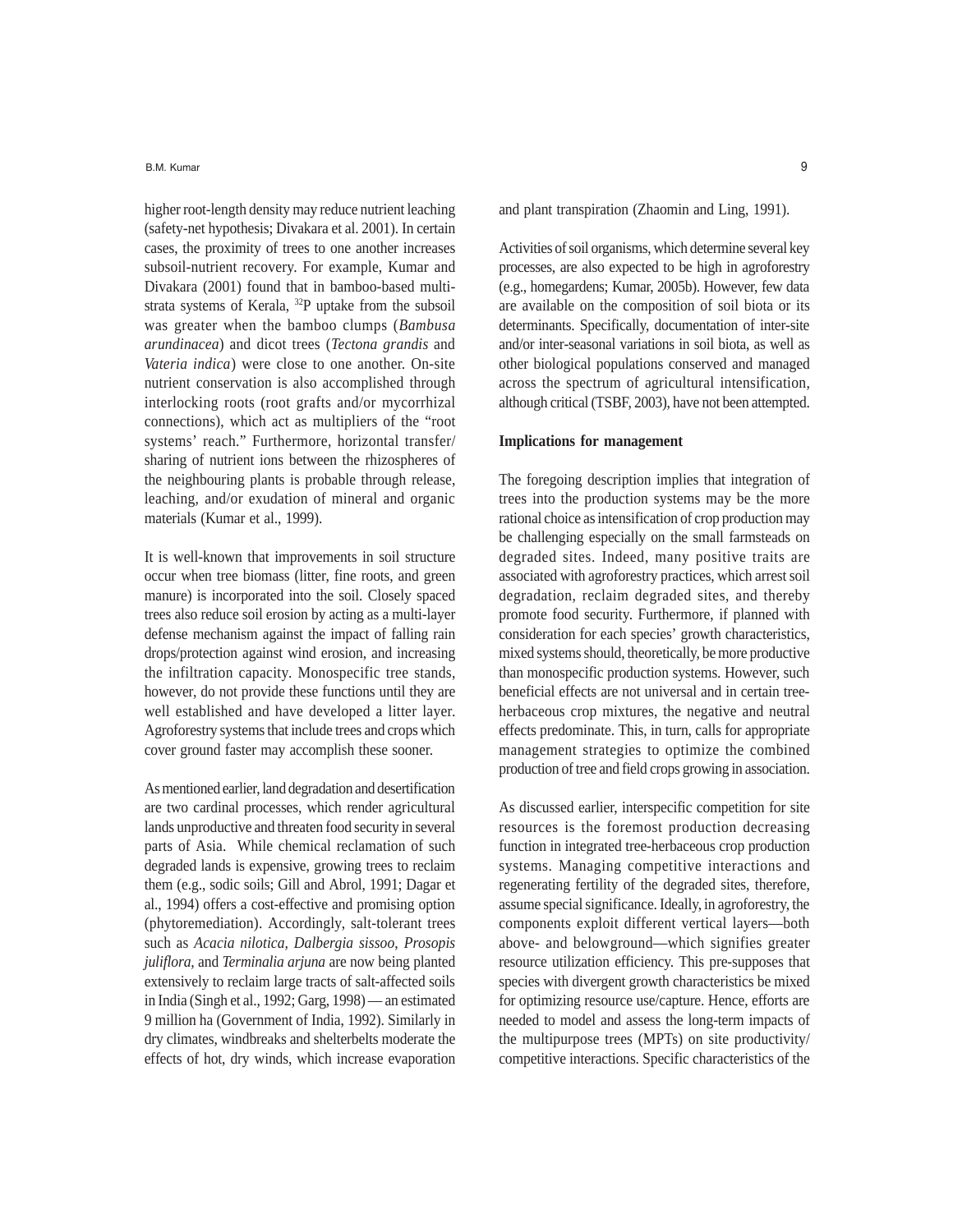B.M. Kumar 9

higher root-length density may reduce nutrient leaching (safety-net hypothesis; Divakara et al. 2001). In certain cases, the proximity of trees to one another increases subsoil-nutrient recovery. For example, Kumar and Divakara (2001) found that in bamboo-based multistrata systems of Kerala, 32P uptake from the subsoil was greater when the bamboo clumps (*Bambusa arundinacea*) and dicot trees (*Tectona grandis* and *Vateria indica*) were close to one another. On-site nutrient conservation is also accomplished through interlocking roots (root grafts and/or mycorrhizal connections), which act as multipliers of the "root systems' reach." Furthermore, horizontal transfer/ sharing of nutrient ions between the rhizospheres of the neighbouring plants is probable through release, leaching, and/or exudation of mineral and organic materials (Kumar et al., 1999).

It is well-known that improvements in soil structure occur when tree biomass (litter, fine roots, and green manure) is incorporated into the soil. Closely spaced trees also reduce soil erosion by acting as a multi-layer defense mechanism against the impact of falling rain drops/protection against wind erosion, and increasing the infiltration capacity. Monospecific tree stands, however, do not provide these functions until they are well established and have developed a litter layer. Agroforestry systems that include trees and crops which cover ground faster may accomplish these sooner.

As mentioned earlier, land degradation and desertification are two cardinal processes, which render agricultural lands unproductive and threaten food security in several parts of Asia. While chemical reclamation of such degraded lands is expensive, growing trees to reclaim them (e.g., sodic soils; Gill and Abrol, 1991; Dagar et al., 1994) offers a cost-effective and promising option (phytoremediation). Accordingly, salt-tolerant trees such as *Acacia nilotica, Dalbergia sissoo*, *Prosopis juliflora,* and *Terminalia arjuna* are now being planted extensively to reclaim large tracts of salt-affected soils in India (Singh et al., 1992; Garg, 1998) — an estimated 9 million ha (Government of India, 1992). Similarly in dry climates, windbreaks and shelterbelts moderate the effects of hot, dry winds, which increase evaporation and plant transpiration (Zhaomin and Ling, 1991).

Activities of soil organisms, which determine several key processes, are also expected to be high in agroforestry (e.g., homegardens; Kumar, 2005b). However, few data are available on the composition of soil biota or its determinants. Specifically, documentation of inter-site and/or inter-seasonal variations in soil biota, as well as other biological populations conserved and managed across the spectrum of agricultural intensification, although critical (TSBF, 2003), have not been attempted.

### **Implications for management**

The foregoing description implies that integration of trees into the production systems may be the more rational choice as intensification of crop production may be challenging especially on the small farmsteads on degraded sites. Indeed, many positive traits are associated with agroforestry practices, which arrest soil degradation, reclaim degraded sites, and thereby promote food security. Furthermore, if planned with consideration for each species' growth characteristics, mixed systems should, theoretically, be more productive than monospecific production systems. However, such beneficial effects are not universal and in certain treeherbaceous crop mixtures, the negative and neutral effects predominate. This, in turn, calls for appropriate management strategies to optimize the combined production of tree and field crops growing in association.

As discussed earlier, interspecific competition for site resources is the foremost production decreasing function in integrated tree-herbaceous crop production systems. Managing competitive interactions and regenerating fertility of the degraded sites, therefore, assume special significance. Ideally, in agroforestry, the components exploit different vertical layers—both above- and belowground—which signifies greater resource utilization efficiency. This pre-supposes that species with divergent growth characteristics be mixed for optimizing resource use/capture. Hence, efforts are needed to model and assess the long-term impacts of the multipurpose trees (MPTs) on site productivity/ competitive interactions. Specific characteristics of the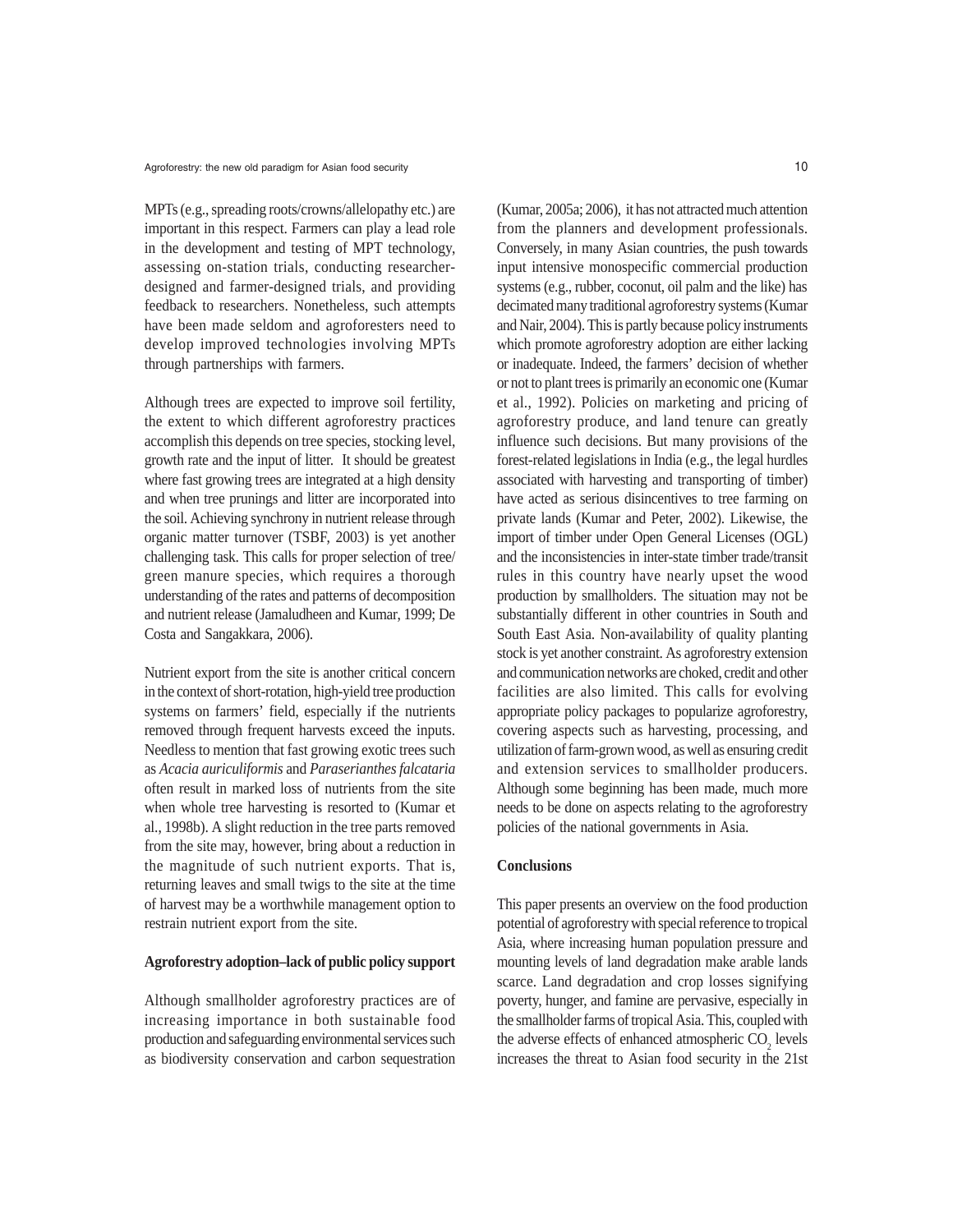MPTs (e.g., spreading roots/crowns/allelopathy etc.) are important in this respect. Farmers can play a lead role in the development and testing of MPT technology, assessing on-station trials, conducting researcherdesigned and farmer-designed trials, and providing feedback to researchers. Nonetheless, such attempts have been made seldom and agroforesters need to develop improved technologies involving MPTs through partnerships with farmers.

Although trees are expected to improve soil fertility, the extent to which different agroforestry practices accomplish this depends on tree species, stocking level, growth rate and the input of litter. It should be greatest where fast growing trees are integrated at a high density and when tree prunings and litter are incorporated into the soil. Achieving synchrony in nutrient release through organic matter turnover (TSBF, 2003) is yet another challenging task. This calls for proper selection of tree/ green manure species, which requires a thorough understanding of the rates and patterns of decomposition and nutrient release (Jamaludheen and Kumar, 1999; De Costa and Sangakkara, 2006).

Nutrient export from the site is another critical concern in the context of short-rotation, high-yield tree production systems on farmers' field, especially if the nutrients removed through frequent harvests exceed the inputs. Needless to mention that fast growing exotic trees such as *Acacia auriculiformis* and *Paraserianthes falcataria* often result in marked loss of nutrients from the site when whole tree harvesting is resorted to (Kumar et al., 1998b). A slight reduction in the tree parts removed from the site may, however, bring about a reduction in the magnitude of such nutrient exports. That is, returning leaves and small twigs to the site at the time of harvest may be a worthwhile management option to restrain nutrient export from the site.

### **Agroforestry adoption–lack of public policy support**

Although smallholder agroforestry practices are of increasing importance in both sustainable food production and safeguarding environmental services such as biodiversity conservation and carbon sequestration (Kumar, 2005a; 2006), it has not attracted much attention from the planners and development professionals. Conversely, in many Asian countries, the push towards input intensive monospecific commercial production systems (e.g., rubber, coconut, oil palm and the like) has decimated many traditional agroforestry systems (Kumar and Nair, 2004). This is partly because policy instruments which promote agroforestry adoption are either lacking or inadequate. Indeed, the farmers' decision of whether or not to plant trees is primarily an economic one (Kumar et al., 1992). Policies on marketing and pricing of agroforestry produce, and land tenure can greatly influence such decisions. But many provisions of the forest-related legislations in India (e.g., the legal hurdles associated with harvesting and transporting of timber) have acted as serious disincentives to tree farming on private lands (Kumar and Peter, 2002). Likewise, the import of timber under Open General Licenses (OGL) and the inconsistencies in inter-state timber trade/transit rules in this country have nearly upset the wood production by smallholders. The situation may not be substantially different in other countries in South and South East Asia. Non-availability of quality planting stock is yet another constraint. As agroforestry extension and communication networks are choked, credit and other facilities are also limited. This calls for evolving appropriate policy packages to popularize agroforestry, covering aspects such as harvesting, processing, and utilization of farm-grown wood, as well as ensuring credit and extension services to smallholder producers. Although some beginning has been made, much more needs to be done on aspects relating to the agroforestry policies of the national governments in Asia.

## **Conclusions**

This paper presents an overview on the food production potential of agroforestry with special reference to tropical Asia, where increasing human population pressure and mounting levels of land degradation make arable lands scarce. Land degradation and crop losses signifying poverty, hunger, and famine are pervasive, especially in the smallholder farms of tropical Asia. This, coupled with the adverse effects of enhanced atmospheric  $CO<sub>2</sub>$  levels increases the threat to Asian food security in the 21st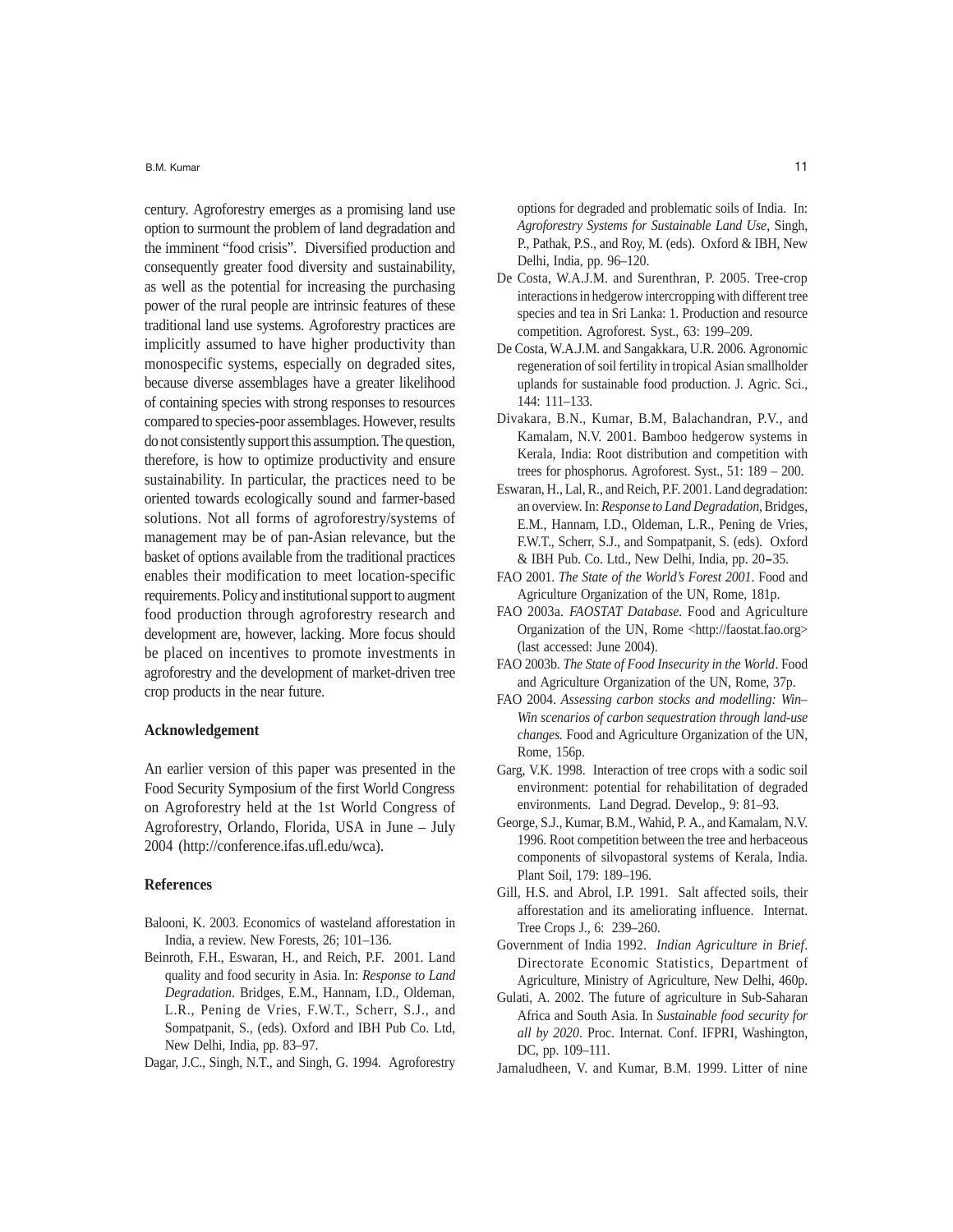B.M. Kumar

century. Agroforestry emerges as a promising land use option to surmount the problem of land degradation and the imminent "food crisis". Diversified production and consequently greater food diversity and sustainability, as well as the potential for increasing the purchasing power of the rural people are intrinsic features of these traditional land use systems. Agroforestry practices are implicitly assumed to have higher productivity than monospecific systems, especially on degraded sites, because diverse assemblages have a greater likelihood of containing species with strong responses to resources compared to species-poor assemblages. However, results do not consistently support this assumption. The question, therefore, is how to optimize productivity and ensure sustainability. In particular, the practices need to be oriented towards ecologically sound and farmer-based solutions. Not all forms of agroforestry/systems of management may be of pan-Asian relevance, but the basket of options available from the traditional practices enables their modification to meet location-specific requirements. Policy and institutional support to augment food production through agroforestry research and development are, however, lacking. More focus should be placed on incentives to promote investments in agroforestry and the development of market-driven tree crop products in the near future.

### **Acknowledgement**

An earlier version of this paper was presented in the Food Security Symposium of the first World Congress on Agroforestry held at the 1st World Congress of Agroforestry, Orlando, Florida, USA in June – July 2004 (http://conference.ifas.ufl.edu/wca).

#### **References**

- Balooni, K. 2003. Economics of wasteland afforestation in India, a review. New Forests, 26; 101–136.
- Beinroth, F.H., Eswaran, H., and Reich, P.F. 2001. Land quality and food security in Asia. In: *Response to Land Degradation*. Bridges, E.M., Hannam, I.D., Oldeman, L.R., Pening de Vries, F.W.T., Scherr, S.J., and Sompatpanit, S., (eds). Oxford and IBH Pub Co. Ltd, New Delhi, India, pp. 83–97.
- Dagar, J.C., Singh, N.T., and Singh, G. 1994. Agroforestry

options for degraded and problematic soils of India. In: *Agroforestry Systems for Sustainable Land Use*, Singh, P., Pathak, P.S., and Roy, M. (eds). Oxford & IBH, New Delhi, India, pp. 96–120.

- De Costa, W.A.J.M. and Surenthran, P. 2005. Tree-crop interactions in hedgerow intercropping with different tree species and tea in Sri Lanka: 1. Production and resource competition. Agroforest. Syst., 63: 199–209.
- De Costa, W.A.J.M. and Sangakkara, U.R. 2006. Agronomic regeneration of soil fertility in tropical Asian smallholder uplands for sustainable food production. J. Agric. Sci., 144: 111–133.
- Divakara, B.N., Kumar, B.M, Balachandran, P.V., and Kamalam, N.V. 2001. Bamboo hedgerow systems in Kerala, India: Root distribution and competition with trees for phosphorus. Agroforest. Syst., 51: 189 – 200.
- Eswaran, H., Lal, R., and Reich, P.F. 2001. Land degradation: an overview. In: *Response to Land Degradation,* Bridges, E.M., Hannam, I.D., Oldeman, L.R., Pening de Vries, F.W.T., Scherr, S.J., and Sompatpanit, S. (eds). Oxford & IBH Pub. Co. Ltd., New Delhi, India, pp. 20**–**35.
- FAO 2001. *The State of the World's Forest 2001*. Food and Agriculture Organization of the UN, Rome, 181p.
- FAO 2003a. *FAOSTAT Database.* Food and Agriculture Organization of the UN, Rome <http://faostat.fao.org> (last accessed: June 2004).
- FAO 2003b. *The State of Food Insecurity in the World*. Food and Agriculture Organization of the UN, Rome, 37p.
- FAO 2004. *Assessing carbon stocks and modelling: Win– Win scenarios of carbon sequestration through land-use changes.* Food and Agriculture Organization of the UN, Rome, 156p.
- Garg, V.K. 1998. Interaction of tree crops with a sodic soil environment: potential for rehabilitation of degraded environments. Land Degrad. Develop., 9: 81–93.
- George, S.J., Kumar, B.M., Wahid, P. A., and Kamalam, N.V. 1996. Root competition between the tree and herbaceous components of silvopastoral systems of Kerala, India. Plant Soil, 179: 189–196.
- Gill, H.S. and Abrol, I.P. 1991. Salt affected soils, their afforestation and its ameliorating influence. Internat. Tree Crops J., 6: 239–260.
- Government of India 1992. *Indian Agriculture in Brief*. Directorate Economic Statistics, Department of Agriculture, Ministry of Agriculture, New Delhi, 460p.
- Gulati, A. 2002. The future of agriculture in Sub-Saharan Africa and South Asia. In *Sustainable food security for all by 2020*. Proc. Internat. Conf. IFPRI, Washington, DC, pp. 109–111.
- Jamaludheen, V. and Kumar, B.M. 1999. Litter of nine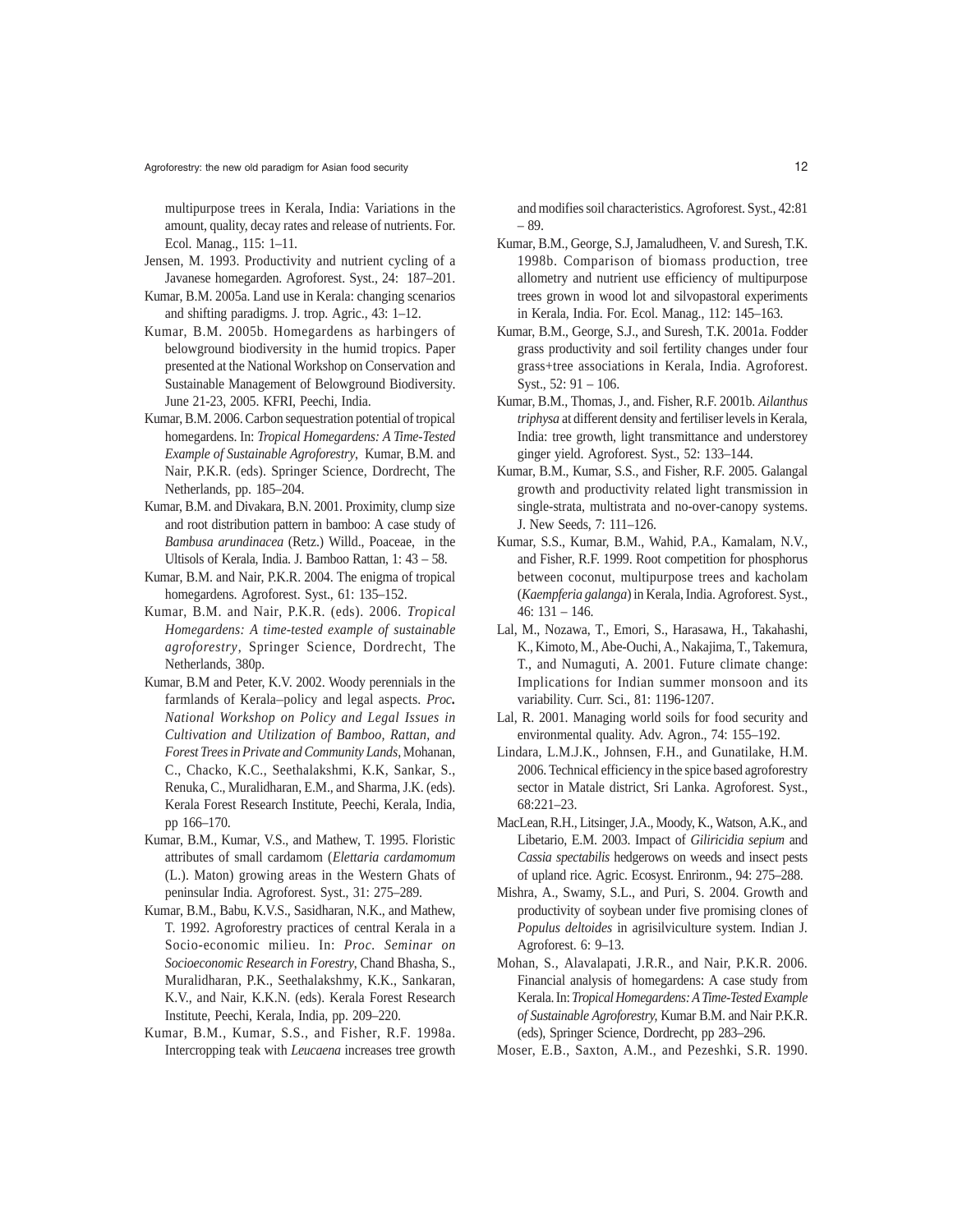multipurpose trees in Kerala, India: Variations in the amount, quality, decay rates and release of nutrients. For. Ecol. Manag., 115: 1–11.

- Jensen, M. 1993. Productivity and nutrient cycling of a Javanese homegarden. Agroforest. Syst., 24: 187–201.
- Kumar, B.M. 2005a. Land use in Kerala: changing scenarios and shifting paradigms. J. trop. Agric., 43: 1–12.
- Kumar, B.M. 2005b. Homegardens as harbingers of belowground biodiversity in the humid tropics. Paper presented at the National Workshop on Conservation and Sustainable Management of Belowground Biodiversity. June 21-23, 2005. KFRI, Peechi, India.
- Kumar, B.M. 2006. Carbon sequestration potential of tropical homegardens. In: *Tropical Homegardens: A Time-Tested Example of Sustainable Agroforestry*, Kumar, B.M. and Nair, P.K.R. (eds). Springer Science, Dordrecht, The Netherlands, pp. 185–204.
- Kumar, B.M. and Divakara, B.N. 2001. Proximity, clump size and root distribution pattern in bamboo: A case study of *Bambusa arundinacea* (Retz.) Willd., Poaceae, in the Ultisols of Kerala, India. J. Bamboo Rattan, 1: 43 – 58.
- Kumar, B.M. and Nair, P.K.R. 2004. The enigma of tropical homegardens. Agroforest. Syst., 61: 135–152.
- Kumar, B.M. and Nair, P.K.R. (eds). 2006. *Tropical Homegardens: A time-tested example of sustainable agroforestry*, Springer Science, Dordrecht, The Netherlands, 380p.
- Kumar, B.M and Peter, K.V. 2002. Woody perennials in the farmlands of Kerala–policy and legal aspects. *Proc. National Workshop on Policy and Legal Issues in Cultivation and Utilization of Bamboo, Rattan, and Forest Trees in Private and Community Lands*, Mohanan, C., Chacko, K.C., Seethalakshmi, K.K, Sankar, S., Renuka, C., Muralidharan, E.M., and Sharma, J.K. (eds). Kerala Forest Research Institute, Peechi, Kerala, India, pp 166–170.
- Kumar, B.M., Kumar, V.S., and Mathew, T. 1995. Floristic attributes of small cardamom (*Elettaria cardamomum* (L.). Maton) growing areas in the Western Ghats of peninsular India. Agroforest. Syst., 31: 275–289.
- Kumar, B.M., Babu, K.V.S., Sasidharan, N.K., and Mathew, T. 1992. Agroforestry practices of central Kerala in a Socio-economic milieu. In: *Proc. Seminar on Socioeconomic Research in Forestry*, Chand Bhasha, S., Muralidharan, P.K., Seethalakshmy, K.K., Sankaran, K.V., and Nair, K.K.N. (eds). Kerala Forest Research Institute, Peechi, Kerala, India, pp. 209–220.
- Kumar, B.M., Kumar, S.S., and Fisher, R.F. 1998a. Intercropping teak with *Leucaena* increases tree growth

and modifies soil characteristics. Agroforest. Syst., 42:81 – 89.

- Kumar, B.M., George, S.J, Jamaludheen, V. and Suresh, T.K. 1998b. Comparison of biomass production, tree allometry and nutrient use efficiency of multipurpose trees grown in wood lot and silvopastoral experiments in Kerala, India. For. Ecol. Manag., 112: 145–163.
- Kumar, B.M., George, S.J., and Suresh, T.K. 2001a. Fodder grass productivity and soil fertility changes under four grass+tree associations in Kerala, India. Agroforest. Syst., 52: 91 – 106.
- Kumar, B.M., Thomas, J., and. Fisher, R.F. 2001b. *Ailanthus triphysa* at different density and fertiliser levels in Kerala, India: tree growth, light transmittance and understorey ginger yield. Agroforest. Syst., 52: 133–144.
- Kumar, B.M., Kumar, S.S., and Fisher, R.F. 2005. Galangal growth and productivity related light transmission in single-strata, multistrata and no-over-canopy systems. J. New Seeds, 7: 111–126.
- Kumar, S.S., Kumar, B.M., Wahid, P.A., Kamalam, N.V., and Fisher, R.F. 1999. Root competition for phosphorus between coconut, multipurpose trees and kacholam (*Kaempferia galanga*) in Kerala, India. Agroforest. Syst., 46: 131 – 146.
- Lal, M., Nozawa, T., Emori, S., Harasawa, H., Takahashi, K., Kimoto, M., Abe-Ouchi, A., Nakajima, T., Takemura, T., and Numaguti, A. 2001. Future climate change: Implications for Indian summer monsoon and its variability. Curr. Sci., 81: 1196-1207.
- Lal, R. 2001. Managing world soils for food security and environmental quality. Adv. Agron., 74: 155–192.
- Lindara, L.M.J.K., Johnsen, F.H., and Gunatilake, H.M. 2006. Technical efficiency in the spice based agroforestry sector in Matale district, Sri Lanka. Agroforest. Syst., 68:221–23.
- MacLean, R.H., Litsinger, J.A., Moody, K., Watson, A.K., and Libetario, E.M. 2003. Impact of *Giliricidia sepium* and *Cassia spectabilis* hedgerows on weeds and insect pests of upland rice. Agric. Ecosyst. Enrironm., 94: 275–288.
- Mishra, A., Swamy, S.L., and Puri, S. 2004. Growth and productivity of soybean under five promising clones of *Populus deltoides* in agrisilviculture system. Indian J. Agroforest. 6: 9–13.
- Mohan, S., Alavalapati, J.R.R., and Nair, P.K.R. 2006. Financial analysis of homegardens: A case study from Kerala. In: *Tropical Homegardens: A Time-Tested Example of Sustainable Agroforestry,* Kumar B.M. and Nair P.K.R. (eds), Springer Science, Dordrecht, pp 283–296.
- Moser, E.B., Saxton, A.M., and Pezeshki, S.R. 1990.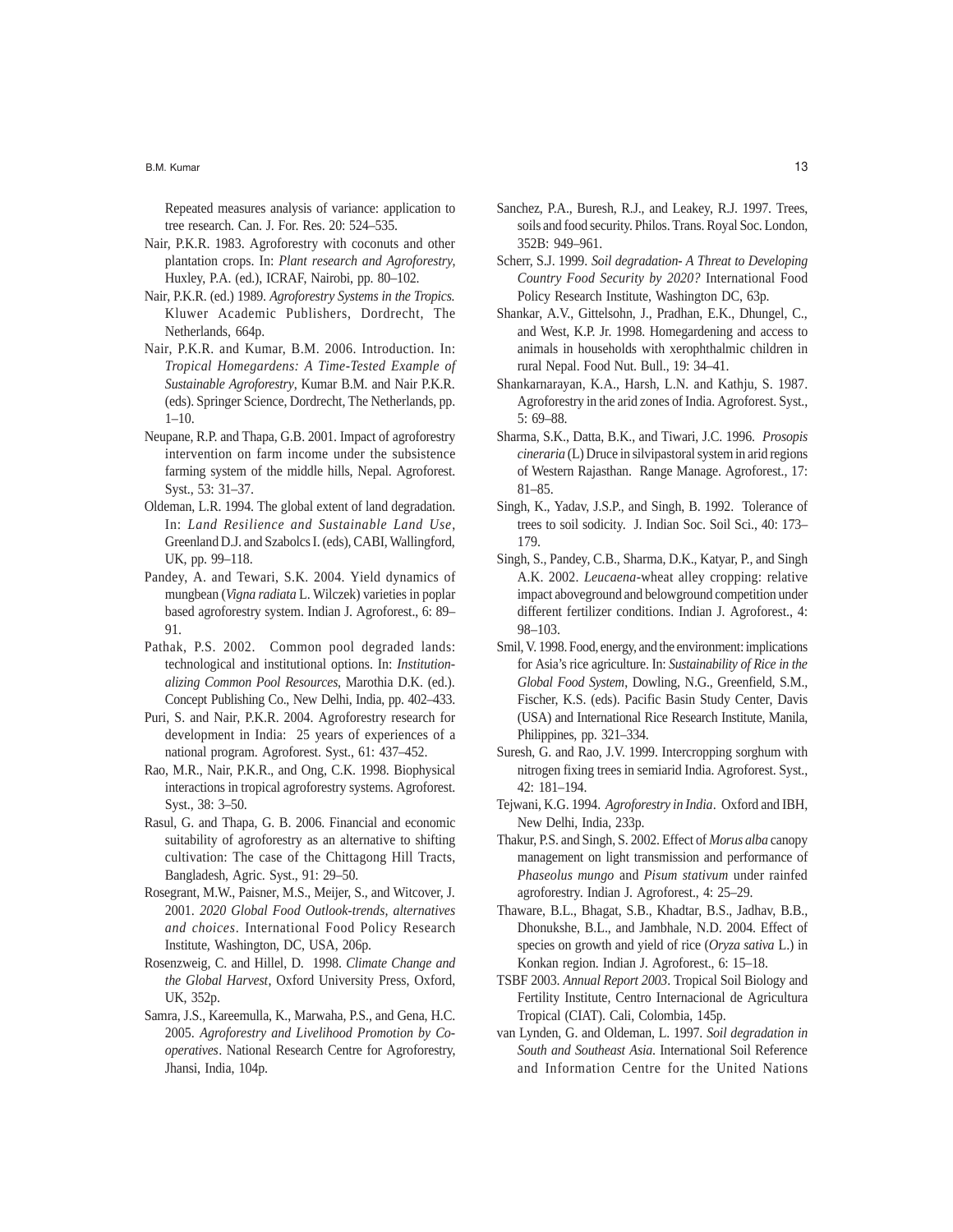Repeated measures analysis of variance: application to tree research. Can. J. For. Res. 20: 524–535.

- Nair, P.K.R. 1983. Agroforestry with coconuts and other plantation crops. In: *Plant research and Agroforestry,* Huxley, P.A. (ed.), ICRAF, Nairobi, pp. 80–102.
- Nair, P.K.R. (ed.) 1989. *Agroforestry Systems in the Tropics.* Kluwer Academic Publishers, Dordrecht, The Netherlands, 664p.
- Nair, P.K.R. and Kumar, B.M. 2006. Introduction. In: *Tropical Homegardens: A Time-Tested Example of Sustainable Agroforestry*, Kumar B.M. and Nair P.K.R. (eds). Springer Science, Dordrecht, The Netherlands, pp. 1–10.
- Neupane, R.P. and Thapa, G.B. 2001. Impact of agroforestry intervention on farm income under the subsistence farming system of the middle hills, Nepal. Agroforest. Syst., 53: 31–37.
- Oldeman, L.R. 1994. The global extent of land degradation. In: *Land Resilience and Sustainable Land Use*, Greenland D.J. and Szabolcs I. (eds), CABI, Wallingford, UK, pp. 99–118.
- Pandey, A. and Tewari, S.K. 2004. Yield dynamics of mungbean (*Vigna radiata* L. Wilczek) varieties in poplar based agroforestry system. Indian J. Agroforest., 6: 89– 91.
- Pathak, P.S. 2002. Common pool degraded lands: technological and institutional options. In: *Institutionalizing Common Pool Resources*, Marothia D.K. (ed.). Concept Publishing Co., New Delhi, India, pp. 402–433.
- Puri, S. and Nair, P.K.R. 2004. Agroforestry research for development in India: 25 years of experiences of a national program. Agroforest. Syst., 61: 437–452.
- Rao, M.R., Nair, P.K.R., and Ong, C.K. 1998. Biophysical interactions in tropical agroforestry systems. Agroforest. Syst., 38: 3–50.
- Rasul, G. and Thapa, G. B. 2006. Financial and economic suitability of agroforestry as an alternative to shifting cultivation: The case of the Chittagong Hill Tracts, Bangladesh, Agric. Syst., 91: 29–50.
- Rosegrant, M.W., Paisner, M.S., Meijer, S., and Witcover, J. 2001. *2020 Global Food Outlook-trends, alternatives and choices*. International Food Policy Research Institute, Washington, DC, USA, 206p.
- Rosenzweig, C. and Hillel, D. 1998. *Climate Change and the Global Harvest*, Oxford University Press, Oxford, UK, 352p.
- Samra, J.S., Kareemulla, K., Marwaha, P.S., and Gena, H.C. 2005. *Agroforestry and Livelihood Promotion by Cooperatives*. National Research Centre for Agroforestry, Jhansi, India, 104p.
- Sanchez, P.A., Buresh, R.J., and Leakey, R.J. 1997. Trees, soils and food security. Philos. Trans. Royal Soc. London, 352B: 949–961.
- Scherr, S.J. 1999. *Soil degradation- A Threat to Developing Country Food Security by 2020?* International Food Policy Research Institute, Washington DC, 63p.
- Shankar, A.V., Gittelsohn, J., Pradhan, E.K., Dhungel, C., and West, K.P. Jr. 1998. Homegardening and access to animals in households with xerophthalmic children in rural Nepal. Food Nut. Bull., 19: 34–41.
- Shankarnarayan, K.A., Harsh, L.N. and Kathju, S. 1987. Agroforestry in the arid zones of India. Agroforest. Syst., 5: 69–88.
- Sharma, S.K., Datta, B.K., and Tiwari, J.C. 1996. *Prosopis cineraria* (L) Druce in silvipastoral system in arid regions of Western Rajasthan. Range Manage. Agroforest., 17: 81–85.
- Singh, K., Yadav, J.S.P., and Singh, B. 1992. Tolerance of trees to soil sodicity. J. Indian Soc. Soil Sci., 40: 173– 179.
- Singh, S., Pandey, C.B., Sharma, D.K., Katyar, P., and Singh A.K. 2002. *Leucaena*-wheat alley cropping: relative impact aboveground and belowground competition under different fertilizer conditions. Indian J. Agroforest., 4: 98–103.
- Smil, V. 1998. Food, energy, and the environment: implications for Asia's rice agriculture. In: *Sustainability of Rice in the Global Food System*, Dowling, N.G., Greenfield, S.M., Fischer, K.S. (eds). Pacific Basin Study Center, Davis (USA) and International Rice Research Institute, Manila, Philippines, pp. 321–334.
- Suresh, G. and Rao, J.V. 1999. Intercropping sorghum with nitrogen fixing trees in semiarid India. Agroforest. Syst., 42: 181–194.
- Tejwani, K.G. 1994. *Agroforestry in India*. Oxford and IBH, New Delhi, India, 233p.
- Thakur, P.S. and Singh, S. 2002. Effect of *Morus alba* canopy management on light transmission and performance of *Phaseolus mungo* and *Pisum stativum* under rainfed agroforestry. Indian J. Agroforest., 4: 25–29.
- Thaware, B.L., Bhagat, S.B., Khadtar, B.S., Jadhav, B.B., Dhonukshe, B.L., and Jambhale, N.D. 2004. Effect of species on growth and yield of rice (*Oryza sativa* L.) in Konkan region. Indian J. Agroforest., 6: 15–18.
- TSBF 2003. *Annual Report 2003*. Tropical Soil Biology and Fertility Institute, Centro Internacional de Agricultura Tropical (CIAT). Cali, Colombia, 145p.
- van Lynden, G. and Oldeman, L. 1997. *Soil degradation in South and Southeast Asia*. International Soil Reference and Information Centre for the United Nations